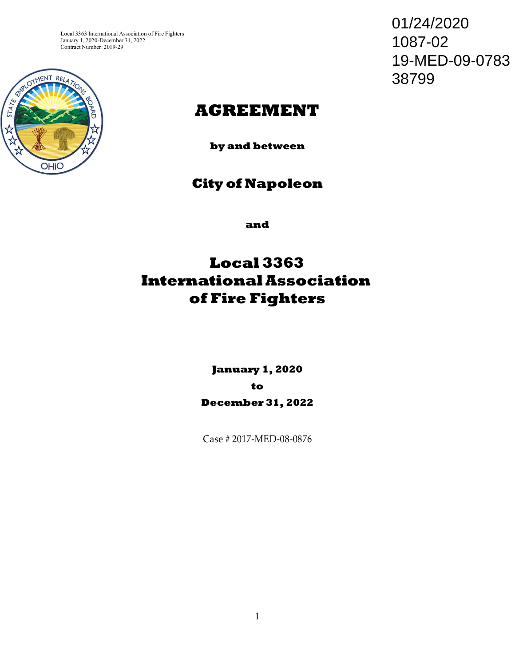Local 3363 International Association of Fire Fighters January 1, 2020-December 31, 2022 Contract Number: 2019-29



01/24/2020 1087-02 19-MED-09-0783 38799

# **AGREEMENT**

**by and between**

# **City of Napoleon**

**and**

# **Local 3363 International Association of Fire Fighters**

**January 1, 2020 to December 31, 2022**

Case # 2017-MED-08-0876

1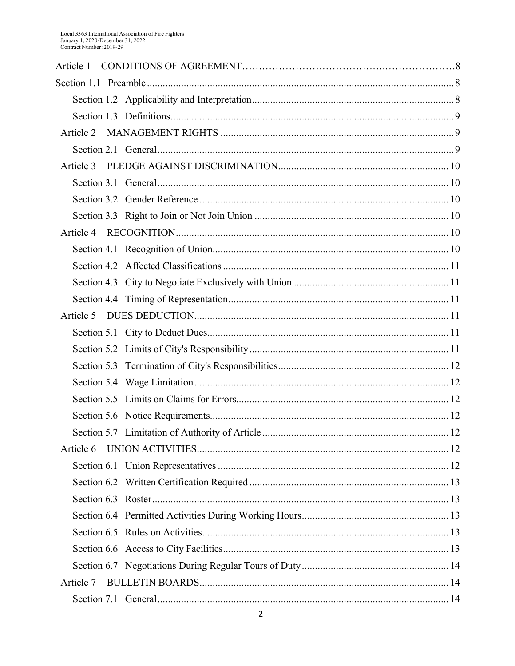| Article 1 |  |
|-----------|--|
|           |  |
|           |  |
|           |  |
| Article 2 |  |
|           |  |
| Article 3 |  |
|           |  |
|           |  |
|           |  |
| Article 4 |  |
|           |  |
|           |  |
|           |  |
|           |  |
| Article 5 |  |
|           |  |
|           |  |
|           |  |
|           |  |
|           |  |
|           |  |
|           |  |
| Article 6 |  |
|           |  |
|           |  |
|           |  |
|           |  |
|           |  |
|           |  |
|           |  |
| Article 7 |  |
|           |  |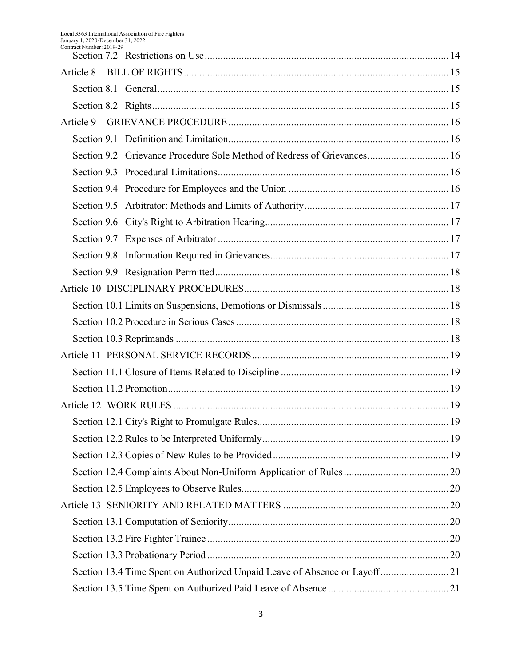| Article 8 |                                                                            |  |
|-----------|----------------------------------------------------------------------------|--|
|           |                                                                            |  |
|           |                                                                            |  |
| Article 9 |                                                                            |  |
|           |                                                                            |  |
|           | Section 9.2 Grievance Procedure Sole Method of Redress of Grievances 16    |  |
|           |                                                                            |  |
|           |                                                                            |  |
|           |                                                                            |  |
|           |                                                                            |  |
|           |                                                                            |  |
|           |                                                                            |  |
|           |                                                                            |  |
|           |                                                                            |  |
|           |                                                                            |  |
|           |                                                                            |  |
|           |                                                                            |  |
|           |                                                                            |  |
|           |                                                                            |  |
|           |                                                                            |  |
|           |                                                                            |  |
|           |                                                                            |  |
|           |                                                                            |  |
|           |                                                                            |  |
|           |                                                                            |  |
|           |                                                                            |  |
|           |                                                                            |  |
|           |                                                                            |  |
|           |                                                                            |  |
|           |                                                                            |  |
|           | Section 13.4 Time Spent on Authorized Unpaid Leave of Absence or Layoff 21 |  |
|           |                                                                            |  |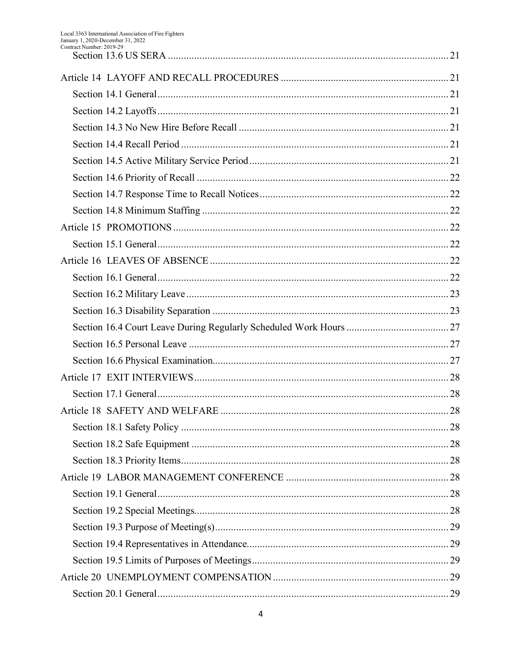| COMU QUI INUMIDEI . ZUI 7-Z 7 |  |
|-------------------------------|--|
|                               |  |
|                               |  |
|                               |  |
|                               |  |
|                               |  |
|                               |  |
|                               |  |
|                               |  |
|                               |  |
|                               |  |
|                               |  |
|                               |  |
|                               |  |
|                               |  |
|                               |  |
|                               |  |
|                               |  |
|                               |  |
|                               |  |
|                               |  |
|                               |  |
|                               |  |
|                               |  |
|                               |  |
|                               |  |
|                               |  |
|                               |  |
|                               |  |
|                               |  |
|                               |  |
|                               |  |
|                               |  |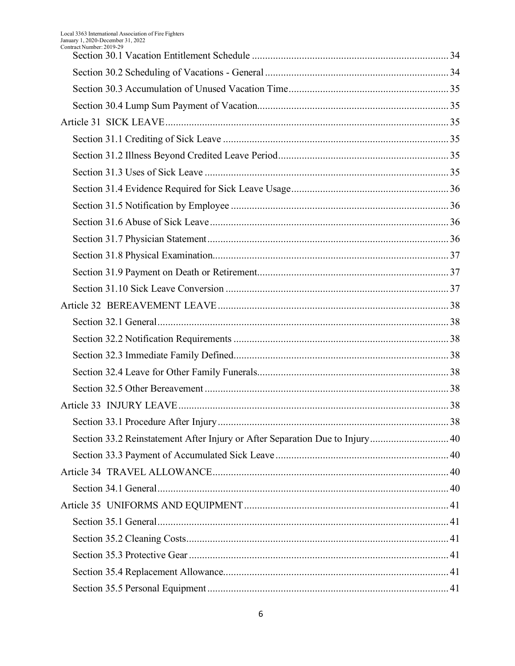| Contract Number: 2019-29                                                     |    |
|------------------------------------------------------------------------------|----|
|                                                                              |    |
|                                                                              |    |
|                                                                              |    |
|                                                                              |    |
|                                                                              |    |
|                                                                              |    |
|                                                                              |    |
|                                                                              |    |
|                                                                              |    |
|                                                                              |    |
|                                                                              |    |
|                                                                              |    |
|                                                                              |    |
|                                                                              |    |
|                                                                              |    |
|                                                                              |    |
|                                                                              |    |
|                                                                              |    |
|                                                                              |    |
|                                                                              |    |
|                                                                              |    |
|                                                                              | 38 |
| Section 33.2 Reinstatement After Injury or After Separation Due to Injury 40 |    |
|                                                                              |    |
|                                                                              |    |
|                                                                              |    |
|                                                                              |    |
|                                                                              |    |
|                                                                              |    |
|                                                                              |    |
|                                                                              |    |
|                                                                              |    |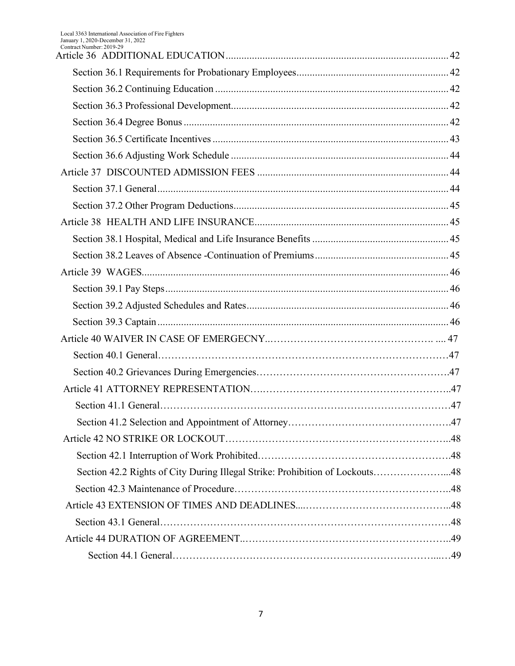| Contract Number: 2019-29                                                     |  |
|------------------------------------------------------------------------------|--|
|                                                                              |  |
|                                                                              |  |
|                                                                              |  |
|                                                                              |  |
|                                                                              |  |
|                                                                              |  |
|                                                                              |  |
|                                                                              |  |
|                                                                              |  |
|                                                                              |  |
|                                                                              |  |
|                                                                              |  |
|                                                                              |  |
|                                                                              |  |
|                                                                              |  |
|                                                                              |  |
|                                                                              |  |
|                                                                              |  |
|                                                                              |  |
|                                                                              |  |
|                                                                              |  |
|                                                                              |  |
|                                                                              |  |
|                                                                              |  |
| Section 42.2 Rights of City During Illegal Strike: Prohibition of Lockouts48 |  |
|                                                                              |  |
|                                                                              |  |
|                                                                              |  |
|                                                                              |  |
|                                                                              |  |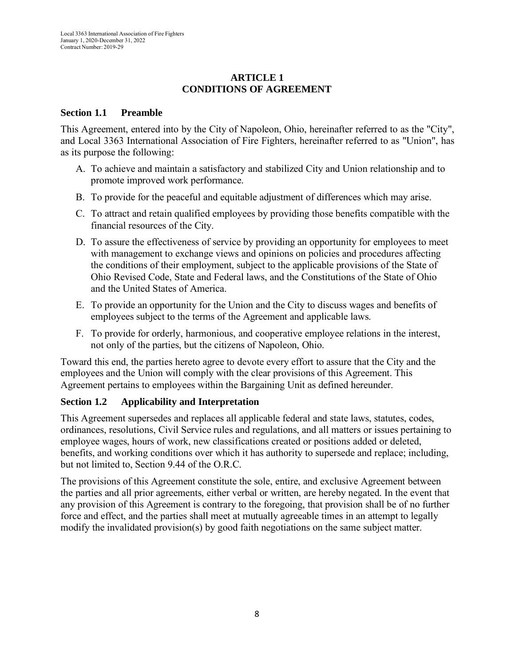## **ARTICLE 1 CONDITIONS OF AGREEMENT**

#### **Section 1.1 Preamble**

This Agreement, entered into by the City of Napoleon, Ohio, hereinafter referred to as the "City", and Local 3363 International Association of Fire Fighters, hereinafter referred to as "Union", has as its purpose the following:

- A. To achieve and maintain a satisfactory and stabilized City and Union relationship and to promote improved work performance.
- B. To provide for the peaceful and equitable adjustment of differences which may arise.
- C. To attract and retain qualified employees by providing those benefits compatible with the financial resources of the City.
- D. To assure the effectiveness of service by providing an opportunity for employees to meet with management to exchange views and opinions on policies and procedures affecting the conditions of their employment, subject to the applicable provisions of the State of Ohio Revised Code, State and Federal laws, and the Constitutions of the State of Ohio and the United States of America.
- E. To provide an opportunity for the Union and the City to discuss wages and benefits of employees subject to the terms of the Agreement and applicable laws.
- F. To provide for orderly, harmonious, and cooperative employee relations in the interest, not only of the parties, but the citizens of Napoleon, Ohio.

Toward this end, the parties hereto agree to devote every effort to assure that the City and the employees and the Union will comply with the clear provisions of this Agreement. This Agreement pertains to employees within the Bargaining Unit as defined hereunder.

## <span id="page-7-0"></span>**Section 1.2 Applicability and Interpretation**

This Agreement supersedes and replaces all applicable federal and state laws, statutes, codes, ordinances, resolutions, Civil Service rules and regulations, and all matters or issues pertaining to employee wages, hours of work, new classifications created or positions added or deleted, benefits, and working conditions over which it has authority to supersede and replace; including, but not limited to, Section 9.44 of the O.R.C.

The provisions of this Agreement constitute the sole, entire, and exclusive Agreement between the parties and all prior agreements, either verbal or written, are hereby negated. In the event that any provision of this Agreement is contrary to the foregoing, that provision shall be of no further force and effect, and the parties shall meet at mutually agreeable times in an attempt to legally modify the invalidated provision(s) by good faith negotiations on the same subject matter.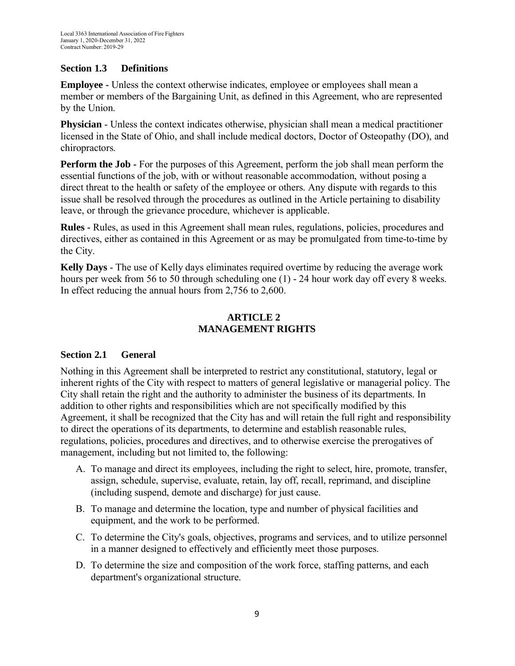## <span id="page-8-0"></span>**Section 1.3 Definitions**

**Employee -** Unless the context otherwise indicates, employee or employees shall mean a member or members of the Bargaining Unit, as defined in this Agreement, who are represented by the Union.

**Physician** - Unless the context indicates otherwise, physician shall mean a medical practitioner licensed in the State of Ohio, and shall include medical doctors, Doctor of Osteopathy (DO), and chiropractors.

**Perform the Job -** For the purposes of this Agreement, perform the job shall mean perform the essential functions of the job, with or without reasonable accommodation, without posing a direct threat to the health or safety of the employee or others. Any dispute with regards to this issue shall be resolved through the procedures as outlined in the Article pertaining to disability leave, or through the grievance procedure, whichever is applicable.

**Rules -** Rules, as used in this Agreement shall mean rules, regulations, policies, procedures and directives, either as contained in this Agreement or as may be promulgated from time-to-time by the City.

**Kelly Days** - The use of Kelly days eliminates required overtime by reducing the average work hours per week from 56 to 50 through scheduling one (1) - 24 hour work day off every 8 weeks. In effect reducing the annual hours from 2,756 to 2,600.

## **ARTICLE 2 MANAGEMENT RIGHTS**

## <span id="page-8-2"></span><span id="page-8-1"></span>**Section 2.1 General**

Nothing in this Agreement shall be interpreted to restrict any constitutional, statutory, legal or inherent rights of the City with respect to matters of general legislative or managerial policy. The City shall retain the right and the authority to administer the business of its departments. In addition to other rights and responsibilities which are not specifically modified by this Agreement, it shall be recognized that the City has and will retain the full right and responsibility to direct the operations of its departments, to determine and establish reasonable rules, regulations, policies, procedures and directives, and to otherwise exercise the prerogatives of management, including but not limited to, the following:

- A. To manage and direct its employees, including the right to select, hire, promote, transfer, assign, schedule, supervise, evaluate, retain, lay off, recall, reprimand, and discipline (including suspend, demote and discharge) for just cause.
- B. To manage and determine the location, type and number of physical facilities and equipment, and the work to be performed.
- C. To determine the City's goals, objectives, programs and services, and to utilize personnel in a manner designed to effectively and efficiently meet those purposes.
- D. To determine the size and composition of the work force, staffing patterns, and each department's organizational structure.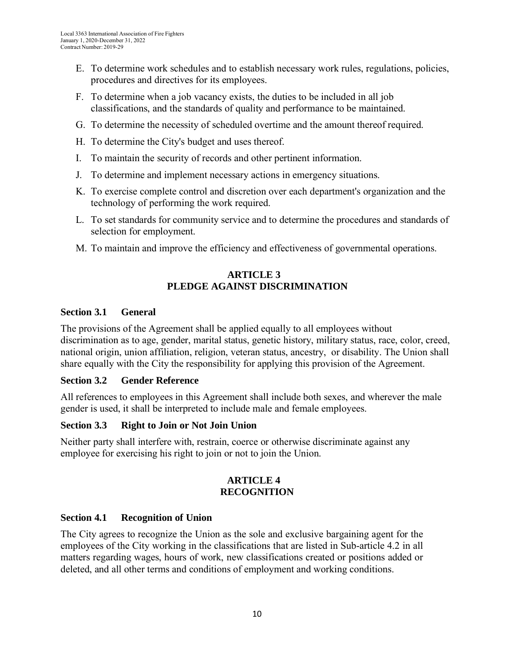- E. To determine work schedules and to establish necessary work rules, regulations, policies, procedures and directives for its employees.
- F. To determine when a job vacancy exists, the duties to be included in all job classifications, and the standards of quality and performance to be maintained.
- G. To determine the necessity of scheduled overtime and the amount thereof required.
- H. To determine the City's budget and uses thereof.
- I. To maintain the security of records and other pertinent information.
- J. To determine and implement necessary actions in emergency situations.
- K. To exercise complete control and discretion over each department's organization and the technology of performing the work required.
- L. To set standards for community service and to determine the procedures and standards of selection for employment.
- M. To maintain and improve the efficiency and effectiveness of governmental operations.

## **ARTICLE 3 PLEDGE AGAINST DISCRIMINATION**

#### <span id="page-9-0"></span>**Section 3.1 General**

The provisions of the Agreement shall be applied equally to all employees without discrimination as to age, gender, marital status, genetic history, military status, race, color, creed, national origin, union affiliation, religion, veteran status, ancestry, or disability. The Union shall share equally with the City the responsibility for applying this provision of the Agreement.

#### <span id="page-9-1"></span>**Section 3.2 Gender Reference**

All references to employees in this Agreement shall include both sexes, and wherever the male gender is used, it shall be interpreted to include male and female employees.

#### <span id="page-9-2"></span>**Section 3.3 Right to Join or Not Join Union**

<span id="page-9-3"></span>Neither party shall interfere with, restrain, coerce or otherwise discriminate against any employee for exercising his right to join or not to join the Union.

#### **ARTICLE 4 RECOGNITION**

## <span id="page-9-4"></span>**Section 4.1 Recognition of Union**

The City agrees to recognize the Union as the sole and exclusive bargaining agent for the employees of the City working in the classifications that are listed in Sub-article 4.2 in all matters regarding wages, hours of work, new classifications created or positions added or deleted, and all other terms and conditions of employment and working conditions.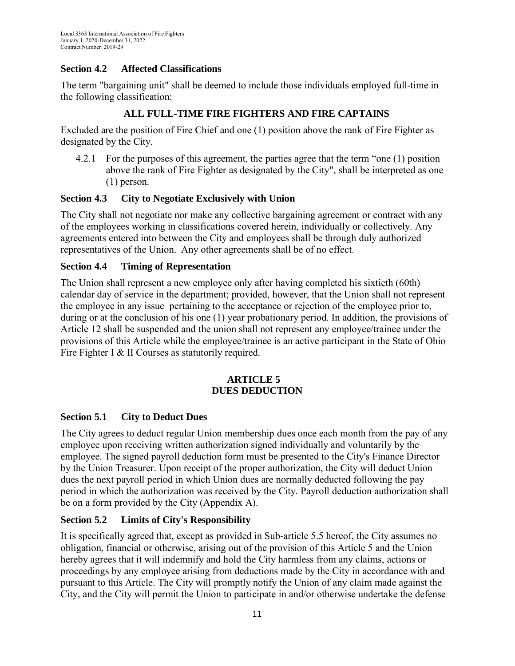## <span id="page-10-0"></span>**Section 4.2 Affected Classifications**

The term "bargaining unit" shall be deemed to include those individuals employed full-time in the following classification:

## **ALL FULL-TIME FIRE FIGHTERS AND FIRE CAPTAINS**

Excluded are the position of Fire Chief and one (1) position above the rank of Fire Fighter as designated by the City.

4.2.1 For the purposes of this agreement, the parties agree that the term "one (1) position above the rank of Fire Fighter as designated by the City", shall be interpreted as one (1) person.

## <span id="page-10-1"></span>**Section 4.3 City to Negotiate Exclusively with Union**

The City shall not negotiate nor make any collective bargaining agreement or contract with any of the employees working in classifications covered herein, individually or collectively. Any agreements entered into between the City and employees shall be through duly authorized representatives of the Union. Any other agreements shall be of no effect.

#### <span id="page-10-2"></span>**Section 4.4 Timing of Representation**

The Union shall represent a new employee only after having completed his sixtieth (60th) calendar day of service in the department; provided, however, that the Union shall not represent the employee in any issue pertaining to the acceptance or rejection of the employee prior to, during or at the conclusion of his one (1) year probationary period. In addition, the provisions of Article 12 shall be suspended and the union shall not represent any employee/trainee under the provisions of this Article while the employee/trainee is an active participant in the State of Ohio Fire Fighter I & II Courses as statutorily required.

#### **ARTICLE 5 DUES DEDUCTION**

## <span id="page-10-4"></span><span id="page-10-3"></span>**Section 5.1 City to Deduct Dues**

The City agrees to deduct regular Union membership dues once each month from the pay of any employee upon receiving written authorization signed individually and voluntarily by the employee. The signed payroll deduction form must be presented to the City's Finance Director by the Union Treasurer. Upon receipt of the proper authorization, the City will deduct Union dues the next payroll period in which Union dues are normally deducted following the pay period in which the authorization was received by the City. Payroll deduction authorization shall be on a form provided by the City (Appendix A).

#### <span id="page-10-5"></span>**Section 5.2 Limits of City's Responsibility**

It is specifically agreed that, except as provided in Sub-article 5.5 hereof, the City assumes no obligation, financial or otherwise, arising out of the provision of this Article 5 and the Union hereby agrees that it will indemnify and hold the City harmless from any claims, actions or proceedings by any employee arising from deductions made by the City in accordance with and pursuant to this Article. The City will promptly notify the Union of any claim made against the City, and the City will permit the Union to participate in and/or otherwise undertake the defense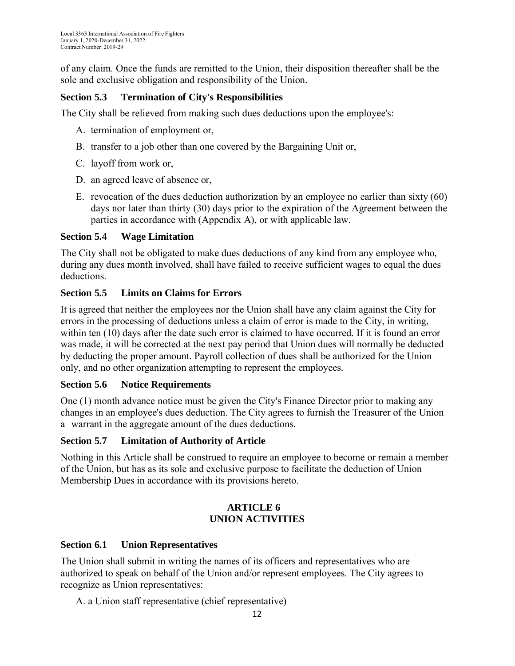of any claim. Once the funds are remitted to the Union, their disposition thereafter shall be the sole and exclusive obligation and responsibility of the Union.

## <span id="page-11-0"></span>**Section 5.3 Termination of City's Responsibilities**

The City shall be relieved from making such dues deductions upon the employee's:

- A. termination of employment or,
- B. transfer to a job other than one covered by the Bargaining Unit or,
- C. layoff from work or,
- D. an agreed leave of absence or,
- E. revocation of the dues deduction authorization by an employee no earlier than sixty (60) days nor later than thirty (30) days prior to the expiration of the Agreement between the parties in accordance with (Appendix A), or with applicable law.

#### <span id="page-11-1"></span>**Section 5.4 Wage Limitation**

The City shall not be obligated to make dues deductions of any kind from any employee who, during any dues month involved, shall have failed to receive sufficient wages to equal the dues deductions.

#### <span id="page-11-2"></span>**Section 5.5 Limits on Claims for Errors**

It is agreed that neither the employees nor the Union shall have any claim against the City for errors in the processing of deductions unless a claim of error is made to the City, in writing, within ten (10) days after the date such error is claimed to have occurred. If it is found an error was made, it will be corrected at the next pay period that Union dues will normally be deducted by deducting the proper amount. Payroll collection of dues shall be authorized for the Union only, and no other organization attempting to represent the employees.

## <span id="page-11-3"></span>**Section 5.6 Notice Requirements**

One (1) month advance notice must be given the City's Finance Director prior to making any changes in an employee's dues deduction. The City agrees to furnish the Treasurer of the Union a warrant in the aggregate amount of the dues deductions.

## <span id="page-11-4"></span>**Section 5.7 Limitation of Authority of Article**

Nothing in this Article shall be construed to require an employee to become or remain a member of the Union, but has as its sole and exclusive purpose to facilitate the deduction of Union Membership Dues in accordance with its provisions hereto.

#### **ARTICLE 6 UNION ACTIVITIES**

#### <span id="page-11-6"></span><span id="page-11-5"></span>**Section 6.1 Union Representatives**

The Union shall submit in writing the names of its officers and representatives who are authorized to speak on behalf of the Union and/or represent employees. The City agrees to recognize as Union representatives:

A. a Union staff representative (chief representative)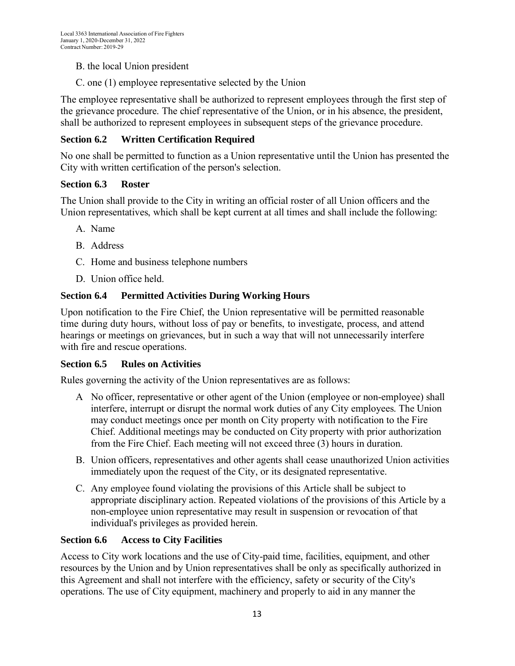- B. the local Union president
- C. one (1) employee representative selected by the Union

The employee representative shall be authorized to represent employees through the first step of the grievance procedure. The chief representative of the Union, or in his absence, the president, shall be authorized to represent employees in subsequent steps of the grievance procedure.

## <span id="page-12-0"></span>**Section 6.2 Written Certification Required**

No one shall be permitted to function as a Union representative until the Union has presented the City with written certification of the person's selection.

#### <span id="page-12-1"></span>**Section 6.3 Roster**

The Union shall provide to the City in writing an official roster of all Union officers and the Union representatives, which shall be kept current at all times and shall include the following:

- A. Name
- B. Address
- C. Home and business telephone numbers
- D. Union office held.

#### <span id="page-12-2"></span>**Section 6.4 Permitted Activities During Working Hours**

Upon notification to the Fire Chief, the Union representative will be permitted reasonable time during duty hours, without loss of pay or benefits, to investigate, process, and attend hearings or meetings on grievances, but in such a way that will not unnecessarily interfere with fire and rescue operations.

#### <span id="page-12-3"></span>**Section 6.5 Rules on Activities**

Rules governing the activity of the Union representatives are as follows:

- A No officer, representative or other agent of the Union (employee or non-employee) shall interfere, interrupt or disrupt the normal work duties of any City employees. The Union may conduct meetings once per month on City property with notification to the Fire Chief. Additional meetings may be conducted on City property with prior authorization from the Fire Chief. Each meeting will not exceed three (3) hours in duration.
- B. Union officers, representatives and other agents shall cease unauthorized Union activities immediately upon the request of the City, or its designated representative.
- C. Any employee found violating the provisions of this Article shall be subject to appropriate disciplinary action. Repeated violations of the provisions of this Article by a non-employee union representative may result in suspension or revocation of that individual's privileges as provided herein.

#### <span id="page-12-4"></span>**Section 6.6 Access to City Facilities**

Access to City work locations and the use of City-paid time, facilities, equipment, and other resources by the Union and by Union representatives shall be only as specifically authorized in this Agreement and shall not interfere with the efficiency, safety or security of the City's operations. The use of City equipment, machinery and properly to aid in any manner the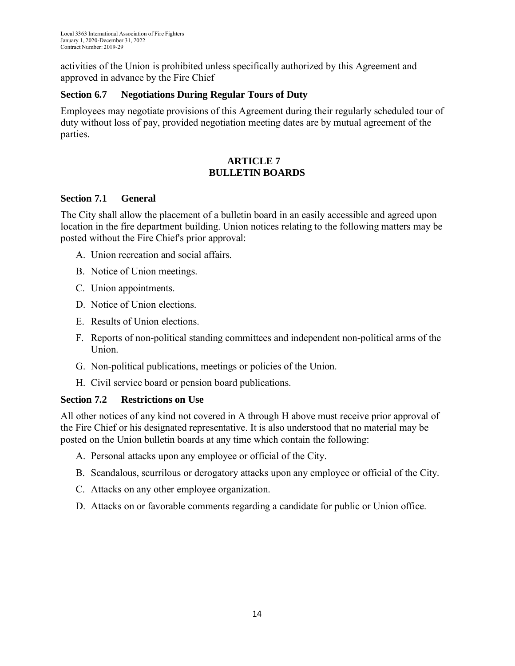activities of the Union is prohibited unless specifically authorized by this Agreement and approved in advance by the Fire Chief

## <span id="page-13-0"></span>**Section 6.7 Negotiations During Regular Tours of Duty**

Employees may negotiate provisions of this Agreement during their regularly scheduled tour of duty without loss of pay, provided negotiation meeting dates are by mutual agreement of the parties.

## **ARTICLE 7 BULLETIN BOARDS**

## <span id="page-13-2"></span><span id="page-13-1"></span>**Section 7.1 General**

The City shall allow the placement of a bulletin board in an easily accessible and agreed upon location in the fire department building. Union notices relating to the following matters may be posted without the Fire Chief's prior approval:

- A. Union recreation and social affairs.
- B. Notice of Union meetings.
- C. Union appointments.
- D. Notice of Union elections.
- E. Results of Union elections.
- F. Reports of non-political standing committees and independent non-political arms of the Union.
- G. Non-political publications, meetings or policies of the Union.
- H. Civil service board or pension board publications.

## <span id="page-13-3"></span>**Section 7.2 Restrictions on Use**

All other notices of any kind not covered in A through H above must receive prior approval of the Fire Chief or his designated representative. It is also understood that no material may be posted on the Union bulletin boards at any time which contain the following:

- A. Personal attacks upon any employee or official of the City.
- B. Scandalous, scurrilous or derogatory attacks upon any employee or official of the City.
- C. Attacks on any other employee organization.
- D. Attacks on or favorable comments regarding a candidate for public or Union office.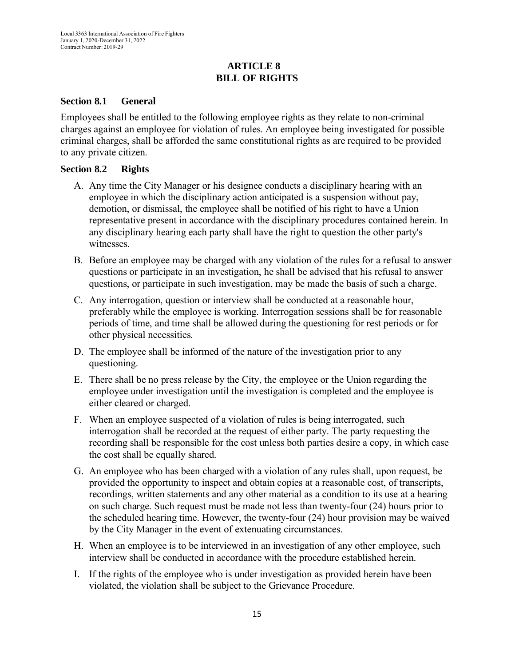## **ARTICLE 8 BILL OF RIGHTS**

#### <span id="page-14-1"></span><span id="page-14-0"></span>**Section 8.1 General**

Employees shall be entitled to the following employee rights as they relate to non-criminal charges against an employee for violation of rules. An employee being investigated for possible criminal charges, shall be afforded the same constitutional rights as are required to be provided to any private citizen.

#### <span id="page-14-2"></span>**Section 8.2 Rights**

- A. Any time the City Manager or his designee conducts a disciplinary hearing with an employee in which the disciplinary action anticipated is a suspension without pay, demotion, or dismissal, the employee shall be notified of his right to have a Union representative present in accordance with the disciplinary procedures contained herein. In any disciplinary hearing each party shall have the right to question the other party's witnesses.
- B. Before an employee may be charged with any violation of the rules for a refusal to answer questions or participate in an investigation, he shall be advised that his refusal to answer questions, or participate in such investigation, may be made the basis of such a charge.
- C. Any interrogation, question or interview shall be conducted at a reasonable hour, preferably while the employee is working. Interrogation sessions shall be for reasonable periods of time, and time shall be allowed during the questioning for rest periods or for other physical necessities.
- D. The employee shall be informed of the nature of the investigation prior to any questioning.
- E. There shall be no press release by the City, the employee or the Union regarding the employee under investigation until the investigation is completed and the employee is either cleared or charged.
- F. When an employee suspected of a violation of rules is being interrogated, such interrogation shall be recorded at the request of either party. The party requesting the recording shall be responsible for the cost unless both parties desire a copy, in which case the cost shall be equally shared.
- G. An employee who has been charged with a violation of any rules shall, upon request, be provided the opportunity to inspect and obtain copies at a reasonable cost, of transcripts, recordings, written statements and any other material as a condition to its use at a hearing on such charge. Such request must be made not less than twenty-four (24) hours prior to the scheduled hearing time. However, the twenty-four (24) hour provision may be waived by the City Manager in the event of extenuating circumstances.
- H. When an employee is to be interviewed in an investigation of any other employee, such interview shall be conducted in accordance with the procedure established herein.
- I. If the rights of the employee who is under investigation as provided herein have been violated, the violation shall be subject to the Grievance Procedure.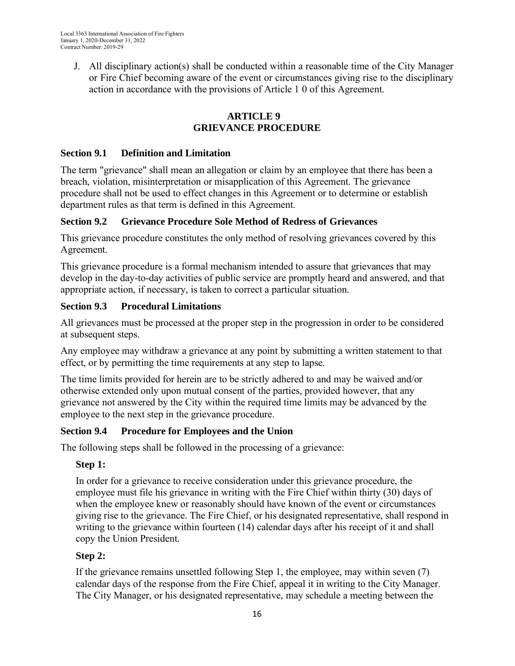J. All disciplinary action(s) shall be conducted within a reasonable time of the City Manager or Fire Chief becoming aware of the event or circumstances giving rise to the disciplinary action in accordance with the provisions of Article 1 0 of this Agreement.

## **ARTICLE 9 GRIEVANCE PROCEDURE**

## <span id="page-15-1"></span><span id="page-15-0"></span>**Section 9.1 Definition and Limitation**

The term "grievance" shall mean an allegation or claim by an employee that there has been a breach, violation, misinterpretation or misapplication of this Agreement. The grievance procedure shall not be used to effect changes in this Agreement or to determine or establish department rules as that term is defined in this Agreement.

## <span id="page-15-2"></span>**Section 9.2 Grievance Procedure Sole Method of Redress of Grievances**

This grievance procedure constitutes the only method of resolving grievances covered by this Agreement.

This grievance procedure is a formal mechanism intended to assure that grievances that may develop in the day-to-day activities of public service are promptly heard and answered, and that appropriate action, if necessary, is taken to correct a particular situation.

# <span id="page-15-3"></span>**Section 9.3 Procedural Limitations**

All grievances must be processed at the proper step in the progression in order to be considered at subsequent steps.

Any employee may withdraw a grievance at any point by submitting a written statement to that effect, or by permitting the time requirements at any step to lapse.

The time limits provided for herein are to be strictly adhered to and may be waived and/or otherwise extended only upon mutual consent of the parties, provided however, that any grievance not answered by the City within the required time limits may be advanced by the employee to the next step in the grievance procedure.

# <span id="page-15-4"></span>**Section 9.4 Procedure for Employees and the Union**

The following steps shall be followed in the processing of a grievance:

# **Step 1:**

In order for a grievance to receive consideration under this grievance procedure, the employee must file his grievance in writing with the Fire Chief within thirty (30) days of when the employee knew or reasonably should have known of the event or circumstances giving rise to the grievance. The Fire Chief, or his designated representative, shall respond in writing to the grievance within fourteen (14) calendar days after his receipt of it and shall copy the Union President.

# **Step 2:**

If the grievance remains unsettled following Step 1, the employee, may within seven (7) calendar days of the response from the Fire Chief, appeal it in writing to the City Manager. The City Manager, or his designated representative, may schedule a meeting between the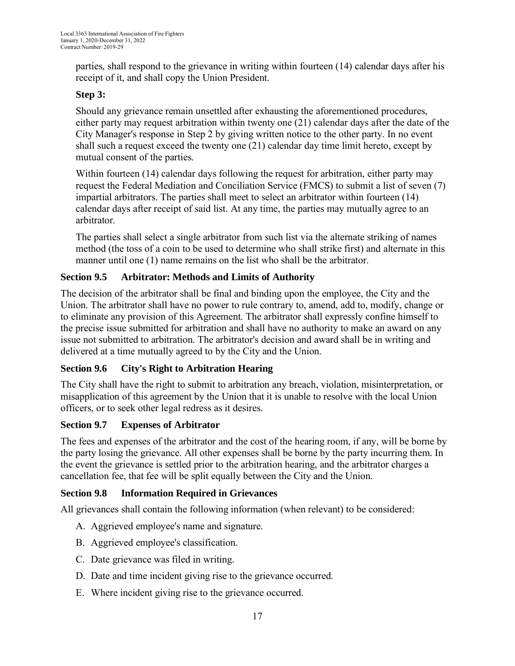parties, shall respond to the grievance in writing within fourteen (14) calendar days after his receipt of it, and shall copy the Union President.

# **Step 3:**

Should any grievance remain unsettled after exhausting the aforementioned procedures, either party may request arbitration within twenty one (21) calendar days after the date of the City Manager's response in Step 2 by giving written notice to the other party. In no event shall such a request exceed the twenty one (21) calendar day time limit hereto, except by mutual consent of the parties.

Within fourteen (14) calendar days following the request for arbitration, either party may request the Federal Mediation and Conciliation Service (FMCS) to submit a list of seven (7) impartial arbitrators. The parties shall meet to select an arbitrator within fourteen (14) calendar days after receipt of said list. At any time, the parties may mutually agree to an arbitrator.

The parties shall select a single arbitrator from such list via the alternate striking of names method (the toss of a coin to be used to determine who shall strike first) and alternate in this manner until one (1) name remains on the list who shall be the arbitrator.

## <span id="page-16-0"></span>**Section 9.5 Arbitrator: Methods and Limits of Authority**

The decision of the arbitrator shall be final and binding upon the employee, the City and the Union. The arbitrator shall have no power to rule contrary to, amend, add to, modify, change or to eliminate any provision of this Agreement. The arbitrator shall expressly confine himself to the precise issue submitted for arbitration and shall have no authority to make an award on any issue not submitted to arbitration. The arbitrator's decision and award shall be in writing and delivered at a time mutually agreed to by the City and the Union.

## <span id="page-16-1"></span>**Section 9.6 City's Right to Arbitration Hearing**

The City shall have the right to submit to arbitration any breach, violation, misinterpretation, or misapplication of this agreement by the Union that it is unable to resolve with the local Union officers, or to seek other legal redress as it desires.

## <span id="page-16-2"></span>**Section 9.7 Expenses of Arbitrator**

The fees and expenses of the arbitrator and the cost of the hearing room, if any, will be borne by the party losing the grievance. All other expenses shall be borne by the party incurring them. In the event the grievance is settled prior to the arbitration hearing, and the arbitrator charges a cancellation fee, that fee will be split equally between the City and the Union.

## <span id="page-16-3"></span>**Section 9.8 Information Required in Grievances**

All grievances shall contain the following information (when relevant) to be considered:

- A. Aggrieved employee's name and signature.
- B. Aggrieved employee's classification.
- C. Date grievance was filed in writing.
- D. Date and time incident giving rise to the grievance occurred.
- E. Where incident giving rise to the grievance occurred.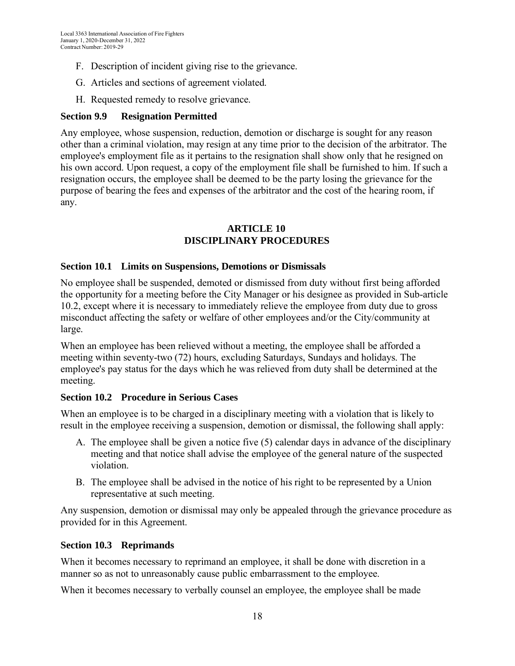- F. Description of incident giving rise to the grievance.
- G. Articles and sections of agreement violated.
- H. Requested remedy to resolve grievance.

#### <span id="page-17-0"></span>**Section 9.9 Resignation Permitted**

Any employee, whose suspension, reduction, demotion or discharge is sought for any reason other than a criminal violation, may resign at any time prior to the decision of the arbitrator. The employee's employment file as it pertains to the resignation shall show only that he resigned on his own accord. Upon request, a copy of the employment file shall be furnished to him. If such a resignation occurs, the employee shall be deemed to be the party losing the grievance for the purpose of bearing the fees and expenses of the arbitrator and the cost of the hearing room, if any.

#### **ARTICLE 10 DISCIPLINARY PROCEDURES**

#### <span id="page-17-2"></span><span id="page-17-1"></span>**Section 10.1 Limits on Suspensions, Demotions or Dismissals**

No employee shall be suspended, demoted or dismissed from duty without first being afforded the opportunity for a meeting before the City Manager or his designee as provided in Sub-article 10.2, except where it is necessary to immediately relieve the employee from duty due to gross misconduct affecting the safety or welfare of other employees and/or the City/community at large.

When an employee has been relieved without a meeting, the employee shall be afforded a meeting within seventy-two (72) hours, excluding Saturdays, Sundays and holidays. The employee's pay status for the days which he was relieved from duty shall be determined at the meeting.

#### <span id="page-17-3"></span>**Section 10.2 Procedure in Serious Cases**

When an employee is to be charged in a disciplinary meeting with a violation that is likely to result in the employee receiving a suspension, demotion or dismissal, the following shall apply:

- A. The employee shall be given a notice five (5) calendar days in advance of the disciplinary meeting and that notice shall advise the employee of the general nature of the suspected violation.
- B. The employee shall be advised in the notice of his right to be represented by a Union representative at such meeting.

Any suspension, demotion or dismissal may only be appealed through the grievance procedure as provided for in this Agreement.

## <span id="page-17-4"></span>**Section 10.3 Reprimands**

When it becomes necessary to reprimand an employee, it shall be done with discretion in a manner so as not to unreasonably cause public embarrassment to the employee.

When it becomes necessary to verbally counsel an employee, the employee shall be made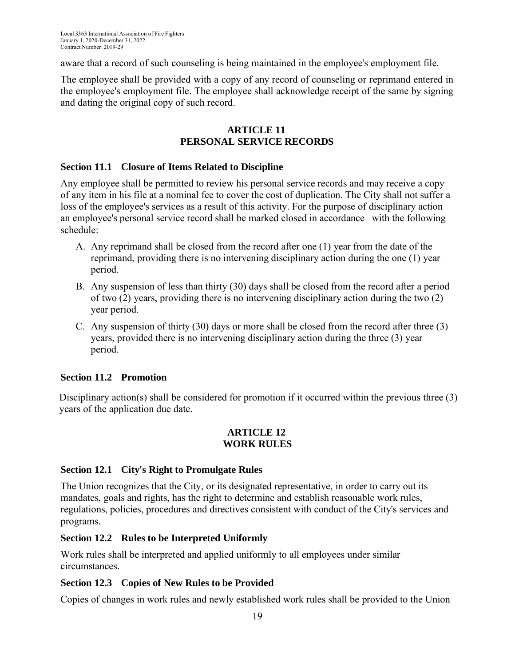aware that a record of such counseling is being maintained in the employee's employment file.

The employee shall be provided with a copy of any record of counseling or reprimand entered in the employee's employment file. The employee shall acknowledge receipt of the same by signing and dating the original copy of such record.

#### **ARTICLE 11 PERSONAL SERVICE RECORDS**

#### <span id="page-18-1"></span><span id="page-18-0"></span>**Section 11.1 Closure of Items Related to Discipline**

Any employee shall be permitted to review his personal service records and may receive a copy of any item in his file at a nominal fee to cover the cost of duplication. The City shall not suffer a loss of the employee's services as a result of this activity. For the purpose of disciplinary action an employee's personal service record shall be marked closed in accordance with the following schedule:

- A. Any reprimand shall be closed from the record after one (1) year from the date of the reprimand, providing there is no intervening disciplinary action during the one (1) year period.
- B. Any suspension of less than thirty (30) days shall be closed from the record after a period of two (2) years, providing there is no intervening disciplinary action during the two (2) year period.
- C. Any suspension of thirty (30) days or more shall be closed from the record after three (3) years, provided there is no intervening disciplinary action during the three (3) year period.

## **Section 11.2 Promotion**

<span id="page-18-2"></span>Disciplinary action(s) shall be considered for promotion if it occurred within the previous three (3) years of the application due date.

#### **ARTICLE 12 WORK RULES**

## <span id="page-18-3"></span>**Section 12.1 City's Right to Promulgate Rules**

The Union recognizes that the City, or its designated representative, in order to carry out its mandates, goals and rights, has the right to determine and establish reasonable work rules, regulations, policies, procedures and directives consistent with conduct of the City's services and programs.

#### <span id="page-18-4"></span>**Section 12.2 Rules to be Interpreted Uniformly**

Work rules shall be interpreted and applied uniformly to all employees under similar circumstances.

## <span id="page-18-5"></span>**Section 12.3 Copies of New Rules to be Provided**

Copies of changes in work rules and newly established work rules shall be provided to the Union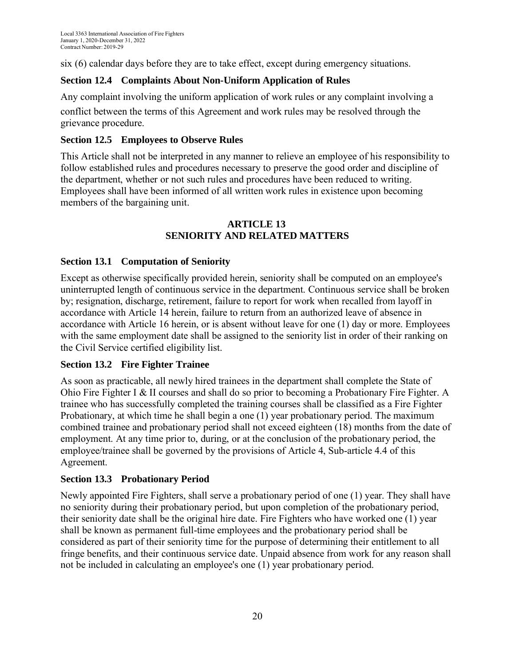six (6) calendar days before they are to take effect, except during emergency situations.

## <span id="page-19-0"></span>**Section 12.4 Complaints About Non-Uniform Application of Rules**

Any complaint involving the uniform application of work rules or any complaint involving a

conflict between the terms of this Agreement and work rules may be resolved through the grievance procedure.

## <span id="page-19-1"></span>**Section 12.5 Employees to Observe Rules**

This Article shall not be interpreted in any manner to relieve an employee of his responsibility to follow established rules and procedures necessary to preserve the good order and discipline of the department, whether or not such rules and procedures have been reduced to writing. Employees shall have been informed of all written work rules in existence upon becoming members of the bargaining unit.

#### **ARTICLE 13 SENIORITY AND RELATED MATTERS**

## <span id="page-19-2"></span>**Section 13.1 Computation of Seniority**

Except as otherwise specifically provided herein, seniority shall be computed on an employee's uninterrupted length of continuous service in the department. Continuous service shall be broken by; resignation, discharge, retirement, failure to report for work when recalled from layoff in accordance with Article 14 herein, failure to return from an authorized leave of absence in accordance with Article 16 herein, or is absent without leave for one (1) day or more. Employees with the same employment date shall be assigned to the seniority list in order of their ranking on the Civil Service certified eligibility list.

## <span id="page-19-3"></span>**Section 13.2 Fire Fighter Trainee**

As soon as practicable, all newly hired trainees in the department shall complete the State of Ohio Fire Fighter I & II courses and shall do so prior to becoming a Probationary Fire Fighter. A trainee who has successfully completed the training courses shall be classified as a Fire Fighter Probationary, at which time he shall begin a one (1) year probationary period. The maximum combined trainee and probationary period shall not exceed eighteen (18) months from the date of employment. At any time prior to, during, or at the conclusion of the probationary period, the employee/trainee shall be governed by the provisions of Article 4, Sub-article 4.4 of this Agreement.

## <span id="page-19-4"></span>**Section 13.3 Probationary Period**

<span id="page-19-5"></span>Newly appointed Fire Fighters, shall serve a probationary period of one (1) year. They shall have no seniority during their probationary period, but upon completion of the probationary period, their seniority date shall be the original hire date. Fire Fighters who have worked one (1) year shall be known as permanent full-time employees and the probationary period shall be considered as part of their seniority time for the purpose of determining their entitlement to all fringe benefits, and their continuous service date. Unpaid absence from work for any reason shall not be included in calculating an employee's one (1) year probationary period.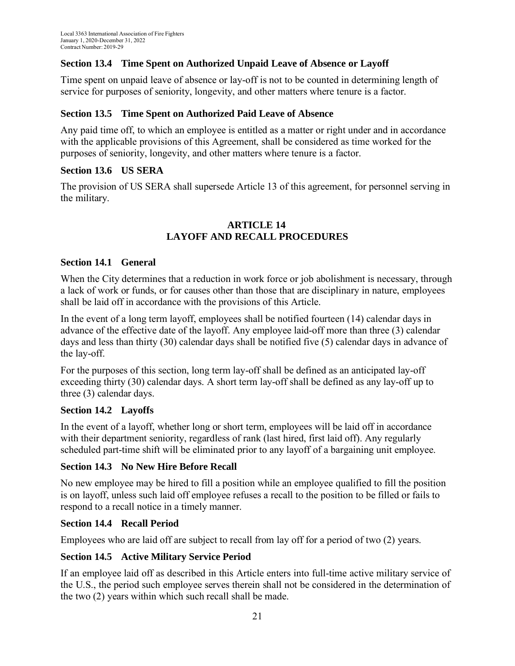## **Section 13.4 Time Spent on Authorized Unpaid Leave of Absence or Layoff**

Time spent on unpaid leave of absence or lay-off is not to be counted in determining length of service for purposes of seniority, longevity, and other matters where tenure is a factor.

#### <span id="page-20-0"></span>**Section 13.5 Time Spent on Authorized Paid Leave of Absence**

Any paid time off, to which an employee is entitled as a matter or right under and in accordance with the applicable provisions of this Agreement, shall be considered as time worked for the purposes of seniority, longevity, and other matters where tenure is a factor.

#### <span id="page-20-1"></span>**Section 13.6 US SERA**

The provision of US SERA shall supersede Article 13 of this agreement, for personnel serving in the military.

## **ARTICLE 14 LAYOFF AND RECALL PROCEDURES**

#### <span id="page-20-2"></span>**Section 14.1 General**

When the City determines that a reduction in work force or job abolishment is necessary, through a lack of work or funds, or for causes other than those that are disciplinary in nature, employees shall be laid off in accordance with the provisions of this Article.

In the event of a long term layoff, employees shall be notified fourteen (14) calendar days in advance of the effective date of the layoff. Any employee laid-off more than three (3) calendar days and less than thirty (30) calendar days shall be notified five (5) calendar days in advance of the lay-off.

For the purposes of this section, long term lay-off shall be defined as an anticipated lay-off exceeding thirty (30) calendar days. A short term lay-off shall be defined as any lay-off up to three (3) calendar days.

## <span id="page-20-3"></span>**Section 14.2 Layoffs**

In the event of a layoff, whether long or short term, employees will be laid off in accordance with their department seniority, regardless of rank (last hired, first laid off). Any regularly scheduled part-time shift will be eliminated prior to any layoff of a bargaining unit employee.

## <span id="page-20-4"></span>**Section 14.3 No New Hire Before Recall**

No new employee may be hired to fill a position while an employee qualified to fill the position is on layoff, unless such laid off employee refuses a recall to the position to be filled or fails to respond to a recall notice in a timely manner.

#### <span id="page-20-5"></span>**Section 14.4 Recall Period**

Employees who are laid off are subject to recall from lay off for a period of two (2) years.

## <span id="page-20-6"></span>**Section 14.5 Active Military Service Period**

<span id="page-20-7"></span>If an employee laid off as described in this Article enters into full-time active military service of the U.S., the period such employee serves therein shall not be considered in the determination of the two (2) years within which such recall shall be made.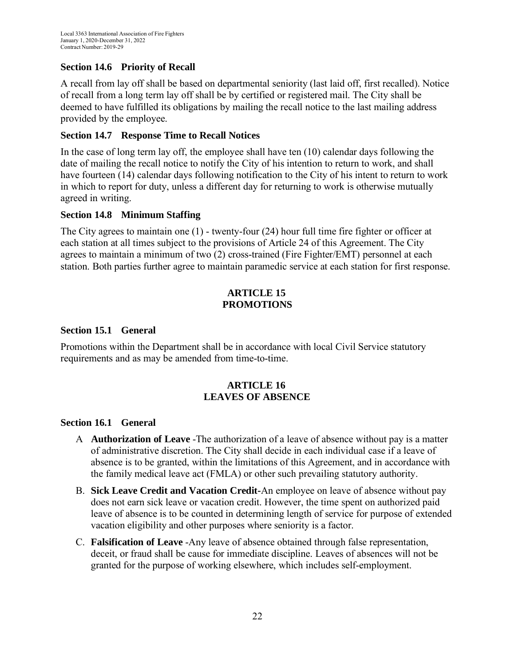# **Section 14.6 Priority of Recall**

A recall from lay off shall be based on departmental seniority (last laid off, first recalled). Notice of recall from a long term lay off shall be by certified or registered mail. The City shall be deemed to have fulfilled its obligations by mailing the recall notice to the last mailing address provided by the employee.

## <span id="page-21-0"></span>**Section 14.7 Response Time to Recall Notices**

In the case of long term lay off, the employee shall have ten (10) calendar days following the date of mailing the recall notice to notify the City of his intention to return to work, and shall have fourteen (14) calendar days following notification to the City of his intent to return to work in which to report for duty, unless a different day for returning to work is otherwise mutually agreed in writing.

## <span id="page-21-1"></span>**Section 14.8 Minimum Staffing**

The City agrees to maintain one (1) - twenty-four (24) hour full time fire fighter or officer at each station at all times subject to the provisions of Article 24 of this Agreement. The City agrees to maintain a minimum of two (2) cross-trained (Fire Fighter/EMT) personnel at each station. Both parties further agree to maintain paramedic service at each station for first response.

#### **ARTICLE 15 PROMOTIONS**

#### <span id="page-21-3"></span><span id="page-21-2"></span>**Section 15.1 General**

Promotions within the Department shall be in accordance with local Civil Service statutory requirements and as may be amended from time-to-time.

## **ARTICLE 16 LEAVES OF ABSENCE**

#### <span id="page-21-5"></span><span id="page-21-4"></span>**Section 16.1 General**

- A **Authorization of Leave** -The authorization of a leave of absence without pay is a matter of administrative discretion. The City shall decide in each individual case if a leave of absence is to be granted, within the limitations of this Agreement, and in accordance with the family medical leave act (FMLA) or other such prevailing statutory authority.
- B. **Sick Leave Credit and Vacation Credit-**An employee on leave of absence without pay does not earn sick leave or vacation credit. However, the time spent on authorized paid leave of absence is to be counted in determining length of service for purpose of extended vacation eligibility and other purposes where seniority is a factor.
- C. **Falsification of Leave** -Any leave of absence obtained through false representation, deceit, or fraud shall be cause for immediate discipline. Leaves of absences will not be granted for the purpose of working elsewhere, which includes self-employment.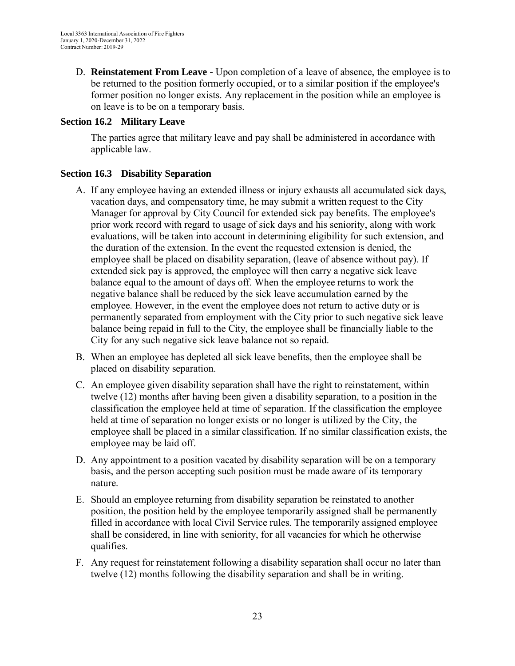D. **Reinstatement From Leave -** Upon completion of a leave of absence, the employee is to be returned to the position formerly occupied, or to a similar position if the employee's former position no longer exists. Any replacement in the position while an employee is on leave is to be on a temporary basis.

#### <span id="page-22-0"></span>**Section 16.2 Military Leave**

The parties agree that military leave and pay shall be administered in accordance with applicable law.

## <span id="page-22-1"></span>**Section 16.3 Disability Separation**

- A. If any employee having an extended illness or injury exhausts all accumulated sick days, vacation days, and compensatory time, he may submit a written request to the City Manager for approval by City Council for extended sick pay benefits. The employee's prior work record with regard to usage of sick days and his seniority, along with work evaluations, will be taken into account in determining eligibility for such extension, and the duration of the extension. In the event the requested extension is denied, the employee shall be placed on disability separation, (leave of absence without pay). If extended sick pay is approved, the employee will then carry a negative sick leave balance equal to the amount of days off. When the employee returns to work the negative balance shall be reduced by the sick leave accumulation earned by the employee. However, in the event the employee does not return to active duty or is permanently separated from employment with the City prior to such negative sick leave balance being repaid in full to the City, the employee shall be financially liable to the City for any such negative sick leave balance not so repaid.
- B. When an employee has depleted all sick leave benefits, then the employee shall be placed on disability separation.
- C. An employee given disability separation shall have the right to reinstatement, within twelve (12) months after having been given a disability separation, to a position in the classification the employee held at time of separation. If the classification the employee held at time of separation no longer exists or no longer is utilized by the City, the employee shall be placed in a similar classification. If no similar classification exists, the employee may be laid off.
- D. Any appointment to a position vacated by disability separation will be on a temporary basis, and the person accepting such position must be made aware of its temporary nature.
- E. Should an employee returning from disability separation be reinstated to another position, the position held by the employee temporarily assigned shall be permanently filled in accordance with local Civil Service rules. The temporarily assigned employee shall be considered, in line with seniority, for all vacancies for which he otherwise qualifies.
- F. Any request for reinstatement following a disability separation shall occur no later than twelve (12) months following the disability separation and shall be in writing.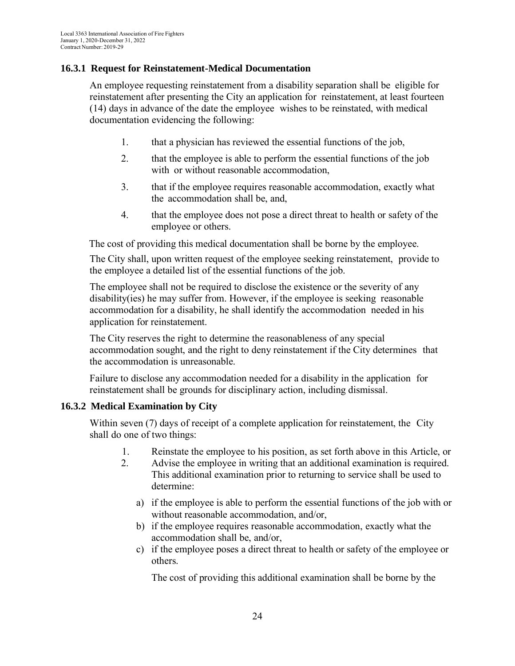#### **16.3.1 Request for Reinstatement-Medical Documentation**

An employee requesting reinstatement from a disability separation shall be eligible for reinstatement after presenting the City an application for reinstatement, at least fourteen (14) days in advance of the date the employee wishes to be reinstated, with medical documentation evidencing the following:

- 1. that a physician has reviewed the essential functions of the job,
- 2. that the employee is able to perform the essential functions of the job with or without reasonable accommodation,
- 3. that if the employee requires reasonable accommodation, exactly what the accommodation shall be, and,
- 4. that the employee does not pose a direct threat to health or safety of the employee or others.

The cost of providing this medical documentation shall be borne by the employee.

The City shall, upon written request of the employee seeking reinstatement, provide to the employee a detailed list of the essential functions of the job.

The employee shall not be required to disclose the existence or the severity of any disability(ies) he may suffer from. However, if the employee is seeking reasonable accommodation for a disability, he shall identify the accommodation needed in his application for reinstatement.

The City reserves the right to determine the reasonableness of any special accommodation sought, and the right to deny reinstatement if the City determines that the accommodation is unreasonable.

Failure to disclose any accommodation needed for a disability in the application for reinstatement shall be grounds for disciplinary action, including dismissal.

## **16.3.2 Medical Examination by City**

Within seven (7) days of receipt of a complete application for reinstatement, the City shall do one of two things:

- 1. Reinstate the employee to his position, as set forth above in this Article, or
- 2. Advise the employee in writing that an additional examination is required. This additional examination prior to returning to service shall be used to determine:
	- a) if the employee is able to perform the essential functions of the job with or without reasonable accommodation, and/or,
	- b) if the employee requires reasonable accommodation, exactly what the accommodation shall be, and/or,
	- c) if the employee poses a direct threat to health or safety of the employee or others.

The cost of providing this additional examination shall be borne by the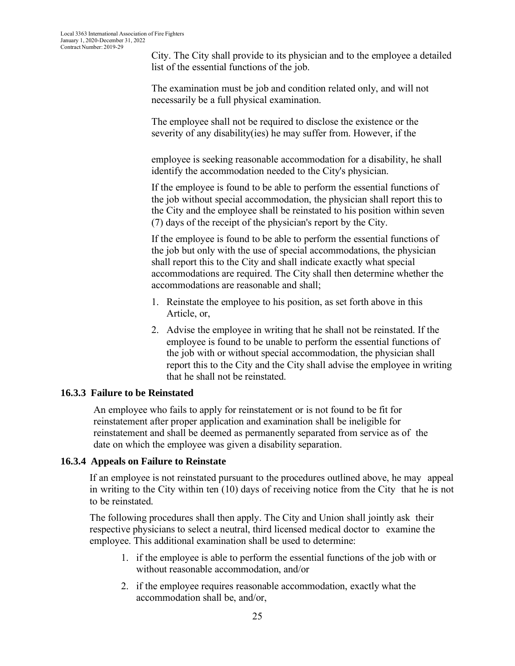City. The City shall provide to its physician and to the employee a detailed list of the essential functions of the job.

The examination must be job and condition related only, and will not necessarily be a full physical examination.

The employee shall not be required to disclose the existence or the severity of any disability(ies) he may suffer from. However, if the

employee is seeking reasonable accommodation for a disability, he shall identify the accommodation needed to the City's physician.

If the employee is found to be able to perform the essential functions of the job without special accommodation, the physician shall report this to the City and the employee shall be reinstated to his position within seven (7) days of the receipt of the physician's report by the City.

If the employee is found to be able to perform the essential functions of the job but only with the use of special accommodations, the physician shall report this to the City and shall indicate exactly what special accommodations are required. The City shall then determine whether the accommodations are reasonable and shall;

- 1. Reinstate the employee to his position, as set forth above in this Article, or,
- 2. Advise the employee in writing that he shall not be reinstated. If the employee is found to be unable to perform the essential functions of the job with or without special accommodation, the physician shall report this to the City and the City shall advise the employee in writing that he shall not be reinstated.

## **16.3.3 Failure to be Reinstated**

An employee who fails to apply for reinstatement or is not found to be fit for reinstatement after proper application and examination shall be ineligible for reinstatement and shall be deemed as permanently separated from service as of the date on which the employee was given a disability separation.

#### **16.3.4 Appeals on Failure to Reinstate**

If an employee is not reinstated pursuant to the procedures outlined above, he may appeal in writing to the City within ten (10) days of receiving notice from the City that he is not to be reinstated.

The following procedures shall then apply. The City and Union shall jointly ask their respective physicians to select a neutral, third licensed medical doctor to examine the employee. This additional examination shall be used to determine:

- 1. if the employee is able to perform the essential functions of the job with or without reasonable accommodation, and/or
- 2. if the employee requires reasonable accommodation, exactly what the accommodation shall be, and/or,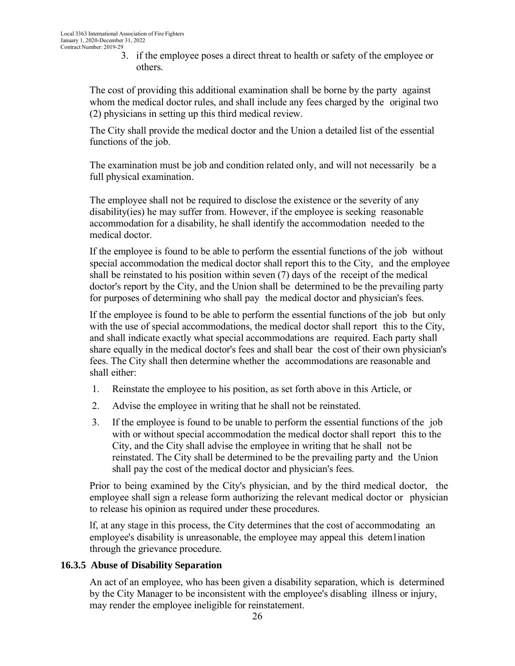3. if the employee poses a direct threat to health or safety of the employee or others.

The cost of providing this additional examination shall be borne by the party against whom the medical doctor rules, and shall include any fees charged by the original two (2) physicians in setting up this third medical review.

The City shall provide the medical doctor and the Union a detailed list of the essential functions of the job.

The examination must be job and condition related only, and will not necessarily be a full physical examination.

The employee shall not be required to disclose the existence or the severity of any disability(ies) he may suffer from. However, if the employee is seeking reasonable accommodation for a disability, he shall identify the accommodation needed to the medical doctor.

If the employee is found to be able to perform the essential functions of the job without special accommodation the medical doctor shall report this to the City, and the employee shall be reinstated to his position within seven (7) days of the receipt of the medical doctor's report by the City, and the Union shall be determined to be the prevailing party for purposes of determining who shall pay the medical doctor and physician's fees.

If the employee is found to be able to perform the essential functions of the job but only with the use of special accommodations, the medical doctor shall report this to the City, and shall indicate exactly what special accommodations are required. Each party shall share equally in the medical doctor's fees and shall bear the cost of their own physician's fees. The City shall then determine whether the accommodations are reasonable and shall either:

- 1. Reinstate the employee to his position, as set forth above in this Article, or
- 2. Advise the employee in writing that he shall not be reinstated.
- 3. If the employee is found to be unable to perform the essential functions of the job with or without special accommodation the medical doctor shall report this to the City, and the City shall advise the employee in writing that he shall not be reinstated. The City shall be determined to be the prevailing party and the Union shall pay the cost of the medical doctor and physician's fees.

Prior to being examined by the City's physician, and by the third medical doctor, the employee shall sign a release form authorizing the relevant medical doctor or physician to release his opinion as required under these procedures.

lf, at any stage in this process, the City determines that the cost of accommodating an employee's disability is unreasonable, the employee may appeal this detem1ination through the grievance procedure.

#### **16.3.5 Abuse of Disability Separation**

An act of an employee, who has been given a disability separation, which is determined by the City Manager to be inconsistent with the employee's disabling illness or injury, may render the employee ineligible for reinstatement.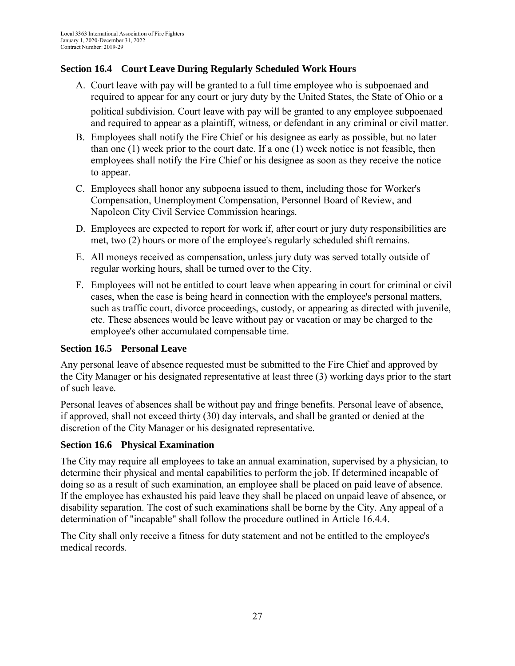## <span id="page-26-0"></span>**Section 16.4 Court Leave During Regularly Scheduled Work Hours**

- A. Court leave with pay will be granted to a full time employee who is subpoenaed and required to appear for any court or jury duty by the United States, the State of Ohio or a political subdivision. Court leave with pay will be granted to any employee subpoenaed and required to appear as a plaintiff, witness, or defendant in any criminal or civil matter.
- B. Employees shall notify the Fire Chief or his designee as early as possible, but no later than one (1) week prior to the court date. If a one (1) week notice is not feasible, then employees shall notify the Fire Chief or his designee as soon as they receive the notice to appear.
- C. Employees shall honor any subpoena issued to them, including those for Worker's Compensation, Unemployment Compensation, Personnel Board of Review, and Napoleon City Civil Service Commission hearings.
- D. Employees are expected to report for work if, after court or jury duty responsibilities are met, two (2) hours or more of the employee's regularly scheduled shift remains.
- E. All moneys received as compensation, unless jury duty was served totally outside of regular working hours, shall be turned over to the City.
- F. Employees will not be entitled to court leave when appearing in court for criminal or civil cases, when the case is being heard in connection with the employee's personal matters, such as traffic court, divorce proceedings, custody, or appearing as directed with juvenile, etc. These absences would be leave without pay or vacation or may be charged to the employee's other accumulated compensable time.

## <span id="page-26-1"></span>**Section 16.5 Personal Leave**

Any personal leave of absence requested must be submitted to the Fire Chief and approved by the City Manager or his designated representative at least three (3) working days prior to the start of such leave.

Personal leaves of absences shall be without pay and fringe benefits. Personal leave of absence, if approved, shall not exceed thirty (30) day intervals, and shall be granted or denied at the discretion of the City Manager or his designated representative.

## <span id="page-26-2"></span>**Section 16.6 Physical Examination**

The City may require all employees to take an annual examination, supervised by a physician, to determine their physical and mental capabilities to perform the job. If determined incapable of doing so as a result of such examination, an employee shall be placed on paid leave of absence. If the employee has exhausted his paid leave they shall be placed on unpaid leave of absence, or disability separation. The cost of such examinations shall be borne by the City. Any appeal of a determination of "incapable" shall follow the procedure outlined in Article 16.4.4.

<span id="page-26-3"></span>The City shall only receive a fitness for duty statement and not be entitled to the employee's medical records.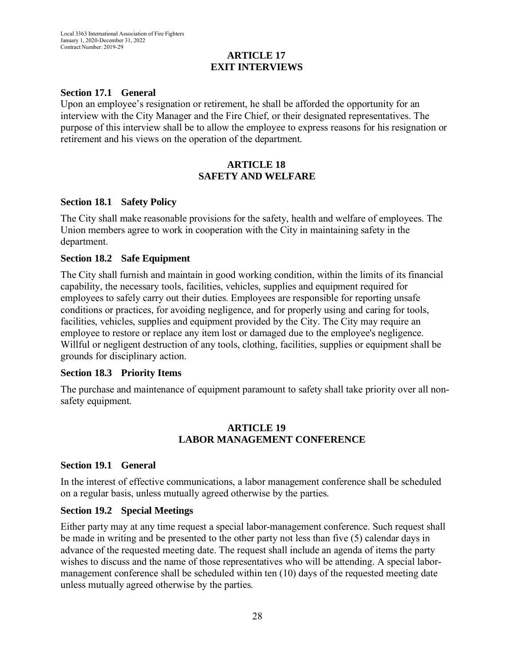## **ARTICLE 17 EXIT INTERVIEWS**

#### <span id="page-27-0"></span>**Section 17.1 General**

Upon an employee's resignation or retirement, he shall be afforded the opportunity for an interview with the City Manager and the Fire Chief, or their designated representatives. The purpose of this interview shall be to allow the employee to express reasons for his resignation or retirement and his views on the operation of the department.

#### **ARTICLE 18 SAFETY AND WELFARE**

#### <span id="page-27-2"></span><span id="page-27-1"></span>**Section 18.1 Safety Policy**

The City shall make reasonable provisions for the safety, health and welfare of employees. The Union members agree to work in cooperation with the City in maintaining safety in the department.

#### <span id="page-27-3"></span>**Section 18.2 Safe Equipment**

The City shall furnish and maintain in good working condition, within the limits of its financial capability, the necessary tools, facilities, vehicles, supplies and equipment required for employees to safely carry out their duties. Employees are responsible for reporting unsafe conditions or practices, for avoiding negligence, and for properly using and caring for tools, facilities, vehicles, supplies and equipment provided by the City. The City may require an employee to restore or replace any item lost or damaged due to the employee's negligence. Willful or negligent destruction of any tools, clothing, facilities, supplies or equipment shall be grounds for disciplinary action.

#### <span id="page-27-4"></span>**Section 18.3 Priority Items**

The purchase and maintenance of equipment paramount to safety shall take priority over all nonsafety equipment.

#### **ARTICLE 19 LABOR MANAGEMENT CONFERENCE**

#### <span id="page-27-5"></span>**Section 19.1 General**

In the interest of effective communications, a labor management conference shall be scheduled on a regular basis, unless mutually agreed otherwise by the parties.

#### <span id="page-27-6"></span>**Section 19.2 Special Meetings**

Either party may at any time request a special labor-management conference. Such request shall be made in writing and be presented to the other party not less than five (5) calendar days in advance of the requested meeting date. The request shall include an agenda of items the party wishes to discuss and the name of those representatives who will be attending. A special labormanagement conference shall be scheduled within ten (10) days of the requested meeting date unless mutually agreed otherwise by the parties.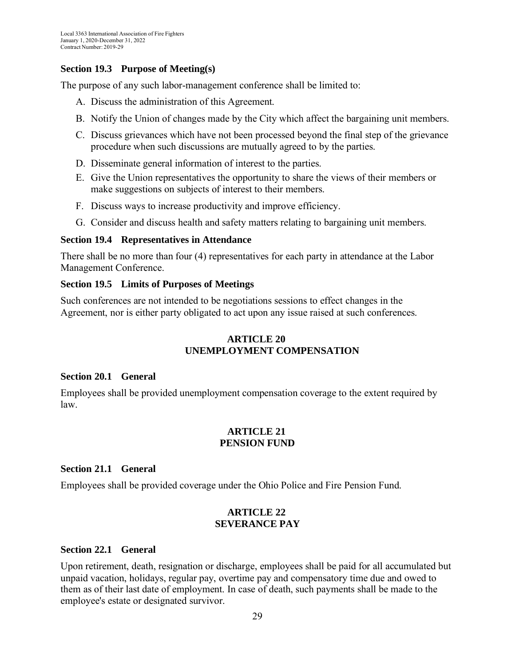#### <span id="page-28-0"></span>**Section 19.3 Purpose of Meeting(s)**

The purpose of any such labor-management conference shall be limited to:

- A. Discuss the administration of this Agreement.
- B. Notify the Union of changes made by the City which affect the bargaining unit members.
- C. Discuss grievances which have not been processed beyond the final step of the grievance procedure when such discussions are mutually agreed to by the parties.
- D. Disseminate general information of interest to the parties.
- E. Give the Union representatives the opportunity to share the views of their members or make suggestions on subjects of interest to their members.
- F. Discuss ways to increase productivity and improve efficiency.
- G. Consider and discuss health and safety matters relating to bargaining unit members.

#### <span id="page-28-1"></span>**Section 19.4 Representatives in Attendance**

There shall be no more than four (4) representatives for each party in attendance at the Labor Management Conference.

#### <span id="page-28-2"></span>**Section 19.5 Limits of Purposes of Meetings**

<span id="page-28-3"></span>Such conferences are not intended to be negotiations sessions to effect changes in the Agreement, nor is either party obligated to act upon any issue raised at such conferences.

## **ARTICLE 20 UNEMPLOYMENT COMPENSATION**

#### <span id="page-28-4"></span>**Section 20.1 General**

<span id="page-28-5"></span>Employees shall be provided unemployment compensation coverage to the extent required by law.

#### **ARTICLE 21 PENSION FUND**

#### <span id="page-28-6"></span>**Section 21.1 General**

<span id="page-28-7"></span>Employees shall be provided coverage under the Ohio Police and Fire Pension Fund.

#### **ARTICLE 22 SEVERANCE PAY**

#### <span id="page-28-8"></span>**Section 22.1 General**

Upon retirement, death, resignation or discharge, employees shall be paid for all accumulated but unpaid vacation, holidays, regular pay, overtime pay and compensatory time due and owed to them as of their last date of employment. In case of death, such payments shall be made to the employee's estate or designated survivor.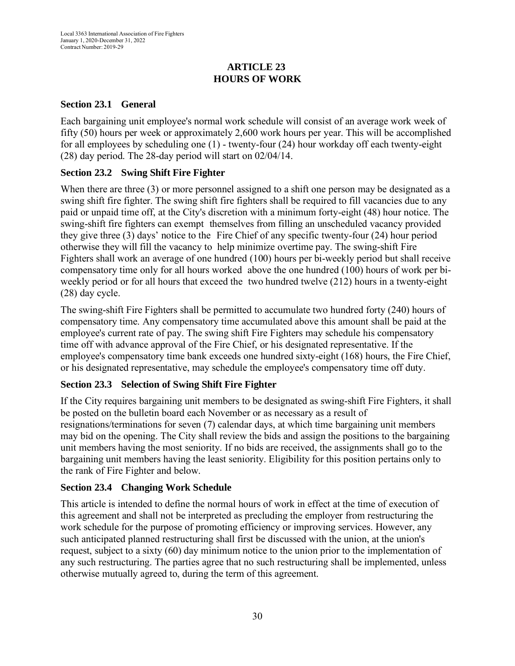## **ARTICLE 23 HOURS OF WORK**

## <span id="page-29-1"></span><span id="page-29-0"></span>**Section 23.1 General**

Each bargaining unit employee's normal work schedule will consist of an average work week of fifty (50) hours per week or approximately 2,600 work hours per year. This will be accomplished for all employees by scheduling one (1) - twenty-four (24) hour workday off each twenty-eight (28) day period. The 28-day period will start on 02/04/14.

## <span id="page-29-2"></span>**Section 23.2 Swing Shift Fire Fighter**

When there are three (3) or more personnel assigned to a shift one person may be designated as a swing shift fire fighter. The swing shift fire fighters shall be required to fill vacancies due to any paid or unpaid time off, at the City's discretion with a minimum forty-eight (48) hour notice. The swing-shift fire fighters can exempt themselves from filling an unscheduled vacancy provided they give three (3) days' notice to the Fire Chief of any specific twenty-four (24) hour period otherwise they will fill the vacancy to help minimize overtime pay. The swing-shift Fire Fighters shall work an average of one hundred (100) hours per bi-weekly period but shall receive compensatory time only for all hours worked above the one hundred (100) hours of work per biweekly period or for all hours that exceed the two hundred twelve (212) hours in a twenty-eight (28) day cycle.

The swing-shift Fire Fighters shall be permitted to accumulate two hundred forty (240) hours of compensatory time. Any compensatory time accumulated above this amount shall be paid at the employee's current rate of pay. The swing shift Fire Fighters may schedule his compensatory time off with advance approval of the Fire Chief, or his designated representative. If the employee's compensatory time bank exceeds one hundred sixty-eight (168) hours, the Fire Chief, or his designated representative, may schedule the employee's compensatory time off duty.

# <span id="page-29-3"></span>**Section 23.3 Selection of Swing Shift Fire Fighter**

If the City requires bargaining unit members to be designated as swing-shift Fire Fighters, it shall be posted on the bulletin board each November or as necessary as a result of resignations/terminations for seven (7) calendar days, at which time bargaining unit members may bid on the opening. The City shall review the bids and assign the positions to the bargaining unit members having the most seniority. If no bids are received, the assignments shall go to the bargaining unit members having the least seniority. Eligibility for this position pertains only to the rank of Fire Fighter and below.

## <span id="page-29-4"></span>**Section 23.4 Changing Work Schedule**

<span id="page-29-5"></span>This article is intended to define the normal hours of work in effect at the time of execution of this agreement and shall not be interpreted as precluding the employer from restructuring the work schedule for the purpose of promoting efficiency or improving services. However, any such anticipated planned restructuring shall first be discussed with the union, at the union's request, subject to a sixty (60) day minimum notice to the union prior to the implementation of any such restructuring. The parties agree that no such restructuring shall be implemented, unless otherwise mutually agreed to, during the term of this agreement.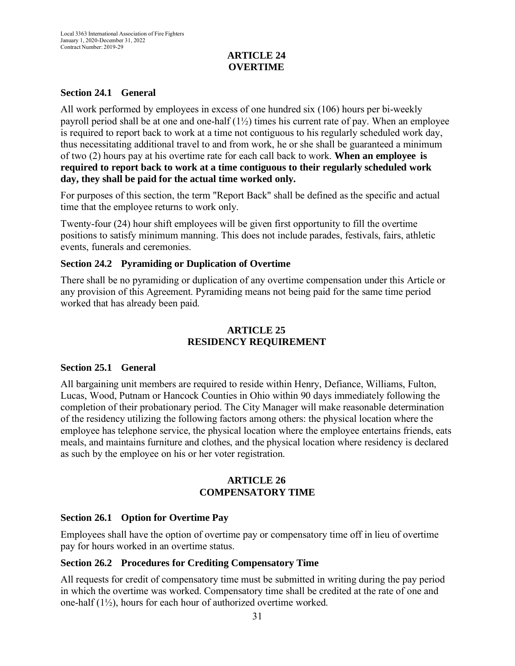## **ARTICLE 24 OVERTIME**

#### <span id="page-30-0"></span>**Section 24.1 General**

All work performed by employees in excess of one hundred six (106) hours per bi-weekly payroll period shall be at one and one-half  $(1\frac{1}{2})$  times his current rate of pay. When an employee is required to report back to work at a time not contiguous to his regularly scheduled work day, thus necessitating additional travel to and from work, he or she shall be guaranteed a minimum of two (2) hours pay at his overtime rate for each call back to work. **When an employee is required to report back to work at a time contiguous to their regularly scheduled work day, they shall be paid for the actual time worked only.**

For purposes of this section, the term "Report Back" shall be defined as the specific and actual time that the employee returns to work only.

Twenty-four (24) hour shift employees will be given first opportunity to fill the overtime positions to satisfy minimum manning. This does not include parades, festivals, fairs, athletic events, funerals and ceremonies.

#### <span id="page-30-1"></span>**Section 24.2 Pyramiding or Duplication of Overtime**

There shall be no pyramiding or duplication of any overtime compensation under this Article or any provision of this Agreement. Pyramiding means not being paid for the same time period worked that has already been paid.

## **ARTICLE 25 RESIDENCY REQUIREMENT**

#### <span id="page-30-3"></span><span id="page-30-2"></span>**Section 25.1 General**

All bargaining unit members are required to reside within Henry, Defiance, Williams, Fulton, Lucas, Wood, Putnam or Hancock Counties in Ohio within 90 days immediately following the completion of their probationary period. The City Manager will make reasonable determination of the residency utilizing the following factors among others: the physical location where the employee has telephone service, the physical location where the employee entertains friends, eats meals, and maintains furniture and clothes, and the physical location where residency is declared as such by the employee on his or her voter registration.

## **ARTICLE 26 COMPENSATORY TIME**

## <span id="page-30-5"></span><span id="page-30-4"></span>**Section 26.1 Option for Overtime Pay**

Employees shall have the option of overtime pay or compensatory time off in lieu of overtime pay for hours worked in an overtime status.

#### <span id="page-30-6"></span>**Section 26.2 Procedures for Crediting Compensatory Time**

All requests for credit of compensatory time must be submitted in writing during the pay period in which the overtime was worked. Compensatory time shall be credited at the rate of one and one-half (1½), hours for each hour of authorized overtime worked.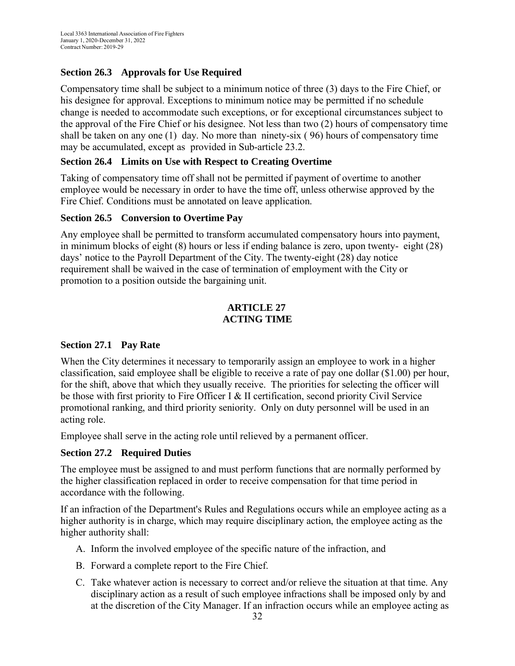# <span id="page-31-0"></span>**Section 26.3 Approvals for Use Required**

Compensatory time shall be subject to a minimum notice of three (3) days to the Fire Chief, or his designee for approval. Exceptions to minimum notice may be permitted if no schedule change is needed to accommodate such exceptions, or for exceptional circumstances subject to the approval of the Fire Chief or his designee. Not less than two (2) hours of compensatory time shall be taken on any one (1) day. No more than ninety-six ( 96) hours of compensatory time may be accumulated, except as provided in Sub-article 23.2.

## <span id="page-31-1"></span>**Section 26.4 Limits on Use with Respect to Creating Overtime**

Taking of compensatory time off shall not be permitted if payment of overtime to another employee would be necessary in order to have the time off, unless otherwise approved by the Fire Chief. Conditions must be annotated on leave application.

## <span id="page-31-2"></span>**Section 26.5 Conversion to Overtime Pay**

Any employee shall be permitted to transform accumulated compensatory hours into payment, in minimum blocks of eight (8) hours or less if ending balance is zero, upon twenty- eight (28) days' notice to the Payroll Department of the City. The twenty-eight (28) day notice requirement shall be waived in the case of termination of employment with the City or promotion to a position outside the bargaining unit.

## **ARTICLE 27 ACTING TIME**

## <span id="page-31-4"></span><span id="page-31-3"></span>**Section 27.1 Pay Rate**

When the City determines it necessary to temporarily assign an employee to work in a higher classification, said employee shall be eligible to receive a rate of pay one dollar (\$1.00) per hour, for the shift, above that which they usually receive. The priorities for selecting the officer will be those with first priority to Fire Officer I & II certification, second priority Civil Service promotional ranking, and third priority seniority. Only on duty personnel will be used in an acting role.

Employee shall serve in the acting role until relieved by a permanent officer.

## <span id="page-31-5"></span>**Section 27.2 Required Duties**

The employee must be assigned to and must perform functions that are normally performed by the higher classification replaced in order to receive compensation for that time period in accordance with the following.

If an infraction of the Department's Rules and Regulations occurs while an employee acting as a higher authority is in charge, which may require disciplinary action, the employee acting as the higher authority shall:

- A. Inform the involved employee of the specific nature of the infraction, and
- B. Forward a complete report to the Fire Chief.
- C. Take whatever action is necessary to correct and/or relieve the situation at that time. Any disciplinary action as a result of such employee infractions shall be imposed only by and at the discretion of the City Manager. If an infraction occurs while an employee acting as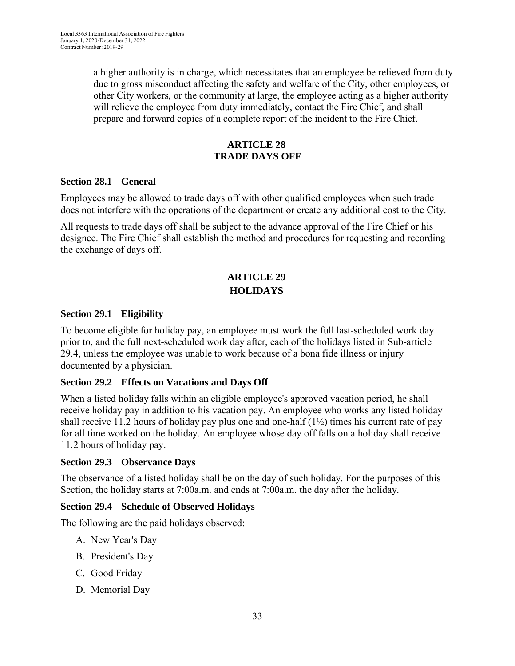a higher authority is in charge, which necessitates that an employee be relieved from duty due to gross misconduct affecting the safety and welfare of the City, other employees, or other City workers, or the community at large, the employee acting as a higher authority will relieve the employee from duty immediately, contact the Fire Chief, and shall prepare and forward copies of a complete report of the incident to the Fire Chief.

#### **ARTICLE 28 TRADE DAYS OFF**

#### <span id="page-32-1"></span><span id="page-32-0"></span>**Section 28.1 General**

Employees may be allowed to trade days off with other qualified employees when such trade does not interfere with the operations of the department or create any additional cost to the City.

All requests to trade days off shall be subject to the advance approval of the Fire Chief or his designee. The Fire Chief shall establish the method and procedures for requesting and recording the exchange of days off.

# **ARTICLE 29 HOLIDAYS**

#### <span id="page-32-2"></span>**Section 29.1 Eligibility**

To become eligible for holiday pay, an employee must work the full last-scheduled work day prior to, and the full next-scheduled work day after, each of the holidays listed in Sub-article 29.4, unless the employee was unable to work because of a bona fide illness or injury documented by a physician.

## <span id="page-32-3"></span>**Section 29.2 Effects on Vacations and Days Off**

When a listed holiday falls within an eligible employee's approved vacation period, he shall receive holiday pay in addition to his vacation pay. An employee who works any listed holiday shall receive 11.2 hours of holiday pay plus one and one-half  $(1\frac{1}{2})$  times his current rate of pay for all time worked on the holiday. An employee whose day off falls on a holiday shall receive 11.2 hours of holiday pay.

#### <span id="page-32-4"></span>**Section 29.3 Observance Days**

The observance of a listed holiday shall be on the day of such holiday. For the purposes of this Section, the holiday starts at 7:00a.m. and ends at 7:00a.m. the day after the holiday.

#### <span id="page-32-5"></span>**Section 29.4 Schedule of Observed Holidays**

The following are the paid holidays observed:

- A. New Year's Day
- B. President's Day
- C. Good Friday
- D. Memorial Day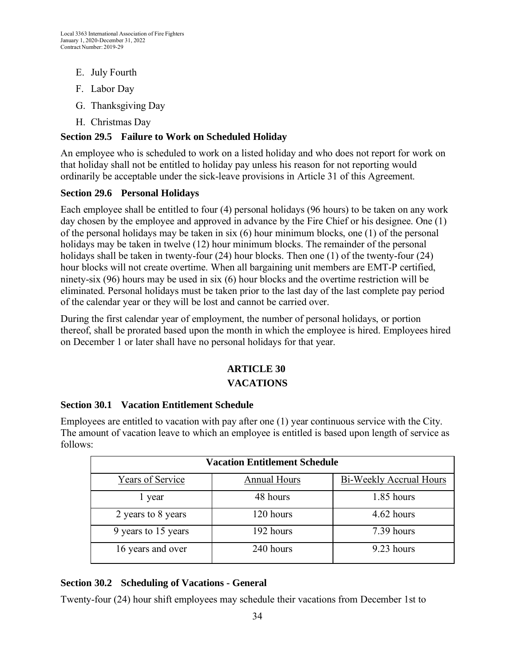- E. July Fourth
- F. Labor Day
- G. Thanksgiving Day
- H. Christmas Day

## <span id="page-33-0"></span>**Section 29.5 Failure to Work on Scheduled Holiday**

An employee who is scheduled to work on a listed holiday and who does not report for work on that holiday shall not be entitled to holiday pay unless his reason for not reporting would ordinarily be acceptable under the sick-leave provisions in Article 31 of this Agreement.

#### <span id="page-33-1"></span>**Section 29.6 Personal Holidays**

Each employee shall be entitled to four (4) personal holidays (96 hours) to be taken on any work day chosen by the employee and approved in advance by the Fire Chief or his designee. One (1) of the personal holidays may be taken in six (6) hour minimum blocks, one (1) of the personal holidays may be taken in twelve (12) hour minimum blocks. The remainder of the personal holidays shall be taken in twenty-four (24) hour blocks. Then one (1) of the twenty-four (24) hour blocks will not create overtime. When all bargaining unit members are EMT-P certified, ninety-six (96) hours may be used in six (6) hour blocks and the overtime restriction will be eliminated. Personal holidays must be taken prior to the last day of the last complete pay period of the calendar year or they will be lost and cannot be carried over.

During the first calendar year of employment, the number of personal holidays, or portion thereof, shall be prorated based upon the month in which the employee is hired. Employees hired on December 1 or later shall have no personal holidays for that year.

# **ARTICLE 30 VACATIONS**

## <span id="page-33-2"></span>**Section 30.1 Vacation Entitlement Schedule**

Employees are entitled to vacation with pay after one (1) year continuous service with the City. The amount of vacation leave to which an employee is entitled is based upon length of service as follows:

| <b>Vacation Entitlement Schedule</b> |                     |                                |  |  |
|--------------------------------------|---------------------|--------------------------------|--|--|
| Years of Service                     | <b>Annual Hours</b> | <b>Bi-Weekly Accrual Hours</b> |  |  |
| 1 year                               | 48 hours            | 1.85 hours                     |  |  |
| 2 years to 8 years                   | 120 hours           | 4.62 hours                     |  |  |
| 9 years to 15 years                  | 192 hours           | 7.39 hours                     |  |  |
| 16 years and over                    | 240 hours           | 9.23 hours                     |  |  |

## <span id="page-33-3"></span>**Section 30.2 Scheduling of Vacations - General**

Twenty-four (24) hour shift employees may schedule their vacations from December 1st to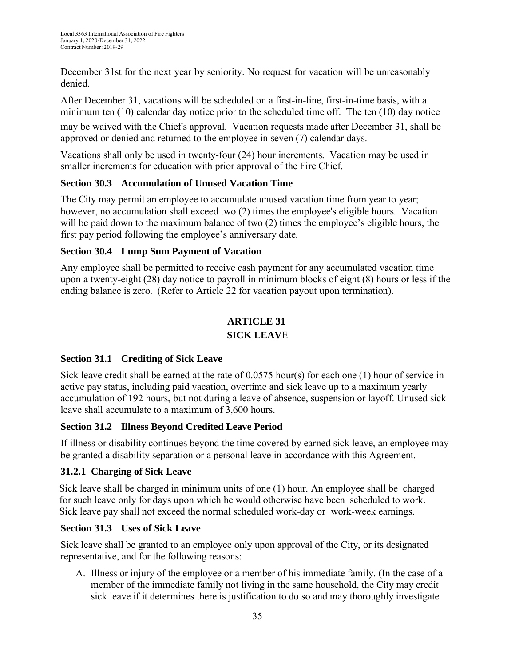December 31st for the next year by seniority. No request for vacation will be unreasonably denied.

After December 31, vacations will be scheduled on a first-in-line, first-in-time basis, with a minimum ten (10) calendar day notice prior to the scheduled time off. The ten (10) day notice may be waived with the Chief's approval. Vacation requests made after December 31, shall be approved or denied and returned to the employee in seven (7) calendar days.

Vacations shall only be used in twenty-four (24) hour increments. Vacation may be used in smaller increments for education with prior approval of the Fire Chief.

# <span id="page-34-0"></span>**Section 30.3 Accumulation of Unused Vacation Time**

The City may permit an employee to accumulate unused vacation time from year to year; however, no accumulation shall exceed two (2) times the employee's eligible hours. Vacation will be paid down to the maximum balance of two (2) times the employee's eligible hours, the first pay period following the employee's anniversary date.

# <span id="page-34-1"></span>**Section 30.4 Lump Sum Payment of Vacation**

Any employee shall be permitted to receive cash payment for any accumulated vacation time upon a twenty-eight (28) day notice to payroll in minimum blocks of eight (8) hours or less if the ending balance is zero. (Refer to Article 22 for vacation payout upon termination).

# **ARTICLE 31 SICK LEAV**E

# <span id="page-34-2"></span>**Section 31.1 Crediting of Sick Leave**

Sick leave credit shall be earned at the rate of 0.0575 hour(s) for each one (1) hour of service in active pay status, including paid vacation, overtime and sick leave up to a maximum yearly accumulation of 192 hours, but not during a leave of absence, suspension or layoff. Unused sick leave shall accumulate to a maximum of 3,600 hours.

# <span id="page-34-3"></span>**Section 31.2 Illness Beyond Credited Leave Period**

If illness or disability continues beyond the time covered by earned sick leave, an employee may be granted a disability separation or a personal leave in accordance with this Agreement.

# **31.2.1 Charging of Sick Leave**

Sick leave shall be charged in minimum units of one (1) hour. An employee shall be charged for such leave only for days upon which he would otherwise have been scheduled to work. Sick leave pay shall not exceed the normal scheduled work-day or work-week earnings.

# <span id="page-34-4"></span>**Section 31.3 Uses of Sick Leave**

Sick leave shall be granted to an employee only upon approval of the City, or its designated representative, and for the following reasons:

A. Illness or injury of the employee or a member of his immediate family. (In the case of a member of the immediate family not living in the same household, the City may credit sick leave if it determines there is justification to do so and may thoroughly investigate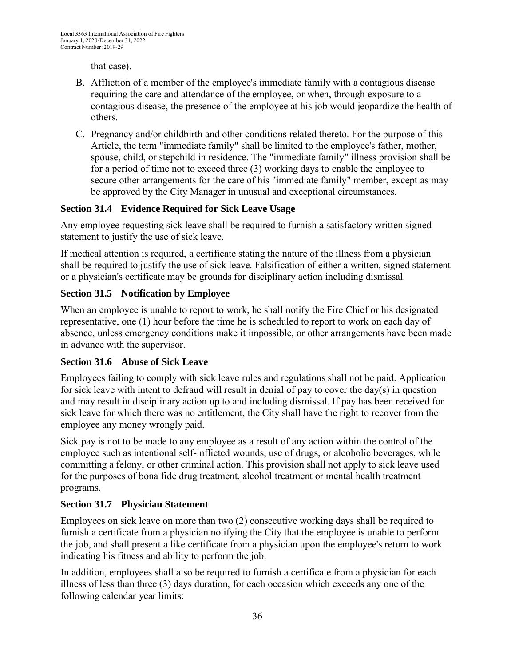that case).

- B. Affliction of a member of the employee's immediate family with a contagious disease requiring the care and attendance of the employee, or when, through exposure to a contagious disease, the presence of the employee at his job would jeopardize the health of others.
- C. Pregnancy and/or childbirth and other conditions related thereto. For the purpose of this Article, the term "immediate family" shall be limited to the employee's father, mother, spouse, child, or stepchild in residence. The "immediate family" illness provision shall be for a period of time not to exceed three (3) working days to enable the employee to secure other arrangements for the care of his "immediate family" member, except as may be approved by the City Manager in unusual and exceptional circumstances.

# <span id="page-35-0"></span>**Section 31.4 Evidence Required for Sick Leave Usage**

Any employee requesting sick leave shall be required to furnish a satisfactory written signed statement to justify the use of sick leave.

If medical attention is required, a certificate stating the nature of the illness from a physician shall be required to justify the use of sick leave. Falsification of either a written, signed statement or a physician's certificate may be grounds for disciplinary action including dismissal.

## <span id="page-35-1"></span>**Section 31.5 Notification by Employee**

When an employee is unable to report to work, he shall notify the Fire Chief or his designated representative, one (1) hour before the time he is scheduled to report to work on each day of absence, unless emergency conditions make it impossible, or other arrangements have been made in advance with the supervisor.

## <span id="page-35-2"></span>**Section 31.6 Abuse of Sick Leave**

Employees failing to comply with sick leave rules and regulations shall not be paid. Application for sick leave with intent to defraud will result in denial of pay to cover the day(s) in question and may result in disciplinary action up to and including dismissal. If pay has been received for sick leave for which there was no entitlement, the City shall have the right to recover from the employee any money wrongly paid.

Sick pay is not to be made to any employee as a result of any action within the control of the employee such as intentional self-inflicted wounds, use of drugs, or alcoholic beverages, while committing a felony, or other criminal action. This provision shall not apply to sick leave used for the purposes of bona fide drug treatment, alcohol treatment or mental health treatment programs.

## <span id="page-35-3"></span>**Section 31.7 Physician Statement**

Employees on sick leave on more than two (2) consecutive working days shall be required to furnish a certificate from a physician notifying the City that the employee is unable to perform the job, and shall present a like certificate from a physician upon the employee's return to work indicating his fitness and ability to perform the job.

In addition, employees shall also be required to furnish a certificate from a physician for each illness of less than three (3) days duration, for each occasion which exceeds any one of the following calendar year limits: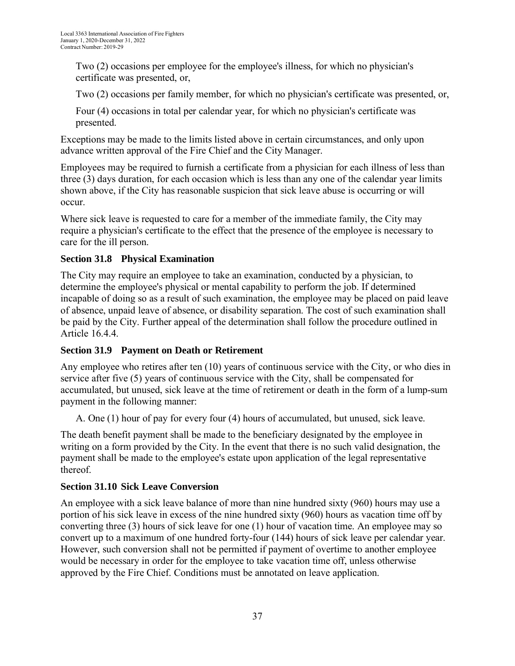Two (2) occasions per employee for the employee's illness, for which no physician's certificate was presented, or,

Two (2) occasions per family member, for which no physician's certificate was presented, or,

Four (4) occasions in total per calendar year, for which no physician's certificate was presented.

Exceptions may be made to the limits listed above in certain circumstances, and only upon advance written approval of the Fire Chief and the City Manager.

Employees may be required to furnish a certificate from a physician for each illness of less than three (3) days duration, for each occasion which is less than any one of the calendar year limits shown above, if the City has reasonable suspicion that sick leave abuse is occurring or will occur.

Where sick leave is requested to care for a member of the immediate family, the City may require a physician's certificate to the effect that the presence of the employee is necessary to care for the ill person.

# <span id="page-36-0"></span>**Section 31.8 Physical Examination**

The City may require an employee to take an examination, conducted by a physician, to determine the employee's physical or mental capability to perform the job. If determined incapable of doing so as a result of such examination, the employee may be placed on paid leave of absence, unpaid leave of absence, or disability separation. The cost of such examination shall be paid by the City. Further appeal of the determination shall follow the procedure outlined in Article 16.4.4.

# <span id="page-36-1"></span>**Section 31.9 Payment on Death or Retirement**

Any employee who retires after ten (10) years of continuous service with the City, or who dies in service after five (5) years of continuous service with the City, shall be compensated for accumulated, but unused, sick leave at the time of retirement or death in the form of a lump-sum payment in the following manner:

A. One (1) hour of pay for every four (4) hours of accumulated, but unused, sick leave.

The death benefit payment shall be made to the beneficiary designated by the employee in writing on a form provided by the City. In the event that there is no such valid designation, the payment shall be made to the employee's estate upon application of the legal representative thereof.

# <span id="page-36-2"></span>**Section 31.10 Sick Leave Conversion**

An employee with a sick leave balance of more than nine hundred sixty (960) hours may use a portion of his sick leave in excess of the nine hundred sixty (960) hours as vacation time off by converting three (3) hours of sick leave for one (1) hour of vacation time. An employee may so convert up to a maximum of one hundred forty-four (144) hours of sick leave per calendar year. However, such conversion shall not be permitted if payment of overtime to another employee would be necessary in order for the employee to take vacation time off, unless otherwise approved by the Fire Chief. Conditions must be annotated on leave application.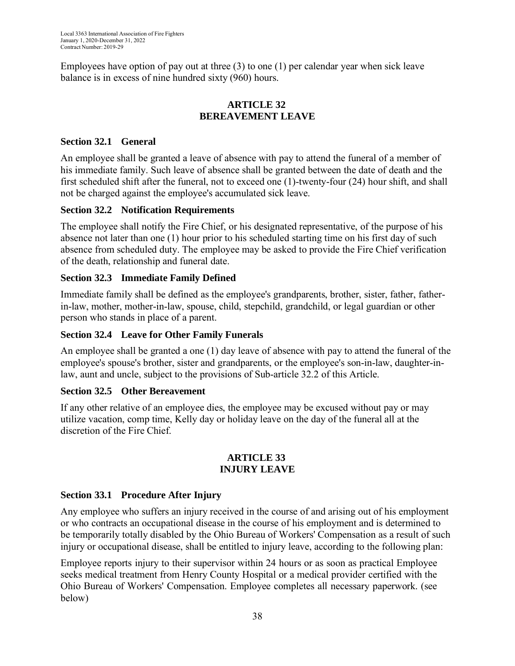Employees have option of pay out at three  $(3)$  to one  $(1)$  per calendar year when sick leave balance is in excess of nine hundred sixty (960) hours.

## **ARTICLE 32 BEREAVEMENT LEAVE**

## <span id="page-37-1"></span><span id="page-37-0"></span>**Section 32.1 General**

An employee shall be granted a leave of absence with pay to attend the funeral of a member of his immediate family. Such leave of absence shall be granted between the date of death and the first scheduled shift after the funeral, not to exceed one (1)-twenty-four (24) hour shift, and shall not be charged against the employee's accumulated sick leave.

## <span id="page-37-2"></span>**Section 32.2 Notification Requirements**

The employee shall notify the Fire Chief, or his designated representative, of the purpose of his absence not later than one (1) hour prior to his scheduled starting time on his first day of such absence from scheduled duty. The employee may be asked to provide the Fire Chief verification of the death, relationship and funeral date.

## <span id="page-37-3"></span>**Section 32.3 Immediate Family Defined**

Immediate family shall be defined as the employee's grandparents, brother, sister, father, fatherin-law, mother, mother-in-law, spouse, child, stepchild, grandchild, or legal guardian or other person who stands in place of a parent.

## <span id="page-37-4"></span>**Section 32.4 Leave for Other Family Funerals**

An employee shall be granted a one (1) day leave of absence with pay to attend the funeral of the employee's spouse's brother, sister and grandparents, or the employee's son-in-law, daughter-inlaw, aunt and uncle, subject to the provisions of Sub-article 32.2 of this Article.

## <span id="page-37-5"></span>**Section 32.5 Other Bereavement**

If any other relative of an employee dies, the employee may be excused without pay or may utilize vacation, comp time, Kelly day or holiday leave on the day of the funeral all at the discretion of the Fire Chief.

#### **ARTICLE 33 INJURY LEAVE**

## <span id="page-37-7"></span><span id="page-37-6"></span>**Section 33.1 Procedure After Injury**

Any employee who suffers an injury received in the course of and arising out of his employment or who contracts an occupational disease in the course of his employment and is determined to be temporarily totally disabled by the Ohio Bureau of Workers' Compensation as a result of such injury or occupational disease, shall be entitled to injury leave, according to the following plan:

Employee reports injury to their supervisor within 24 hours or as soon as practical Employee seeks medical treatment from Henry County Hospital or a medical provider certified with the Ohio Bureau of Workers' Compensation. Employee completes all necessary paperwork. (see below)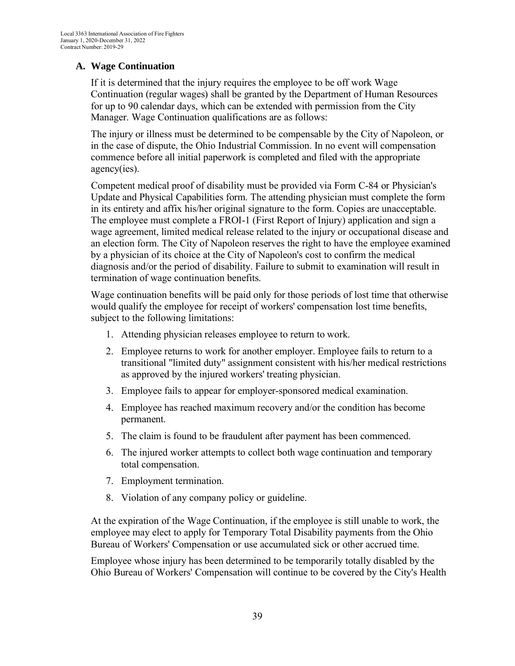## **A. Wage Continuation**

If it is determined that the injury requires the employee to be off work Wage Continuation (regular wages) shall be granted by the Department of Human Resources for up to 90 calendar days, which can be extended with permission from the City Manager. Wage Continuation qualifications are as follows:

The injury or illness must be determined to be compensable by the City of Napoleon, or in the case of dispute, the Ohio Industrial Commission. In no event will compensation commence before all initial paperwork is completed and filed with the appropriate agency(ies).

Competent medical proof of disability must be provided via Form C-84 or Physician's Update and Physical Capabilities form. The attending physician must complete the form in its entirety and affix his/her original signature to the form. Copies are unacceptable. The employee must complete a FROI-1 (First Report of Injury) application and sign a wage agreement, limited medical release related to the injury or occupational disease and an election form. The City of Napoleon reserves the right to have the employee examined by a physician of its choice at the City of Napoleon's cost to confirm the medical diagnosis and/or the period of disability. Failure to submit to examination will result in termination of wage continuation benefits.

Wage continuation benefits will be paid only for those periods of lost time that otherwise would qualify the employee for receipt of workers' compensation lost time benefits, subject to the following limitations:

- 1. Attending physician releases employee to return to work.
- 2. Employee returns to work for another employer. Employee fails to return to a transitional "limited duty" assignment consistent with his/her medical restrictions as approved by the injured workers' treating physician.
- 3. Employee fails to appear for employer-sponsored medical examination.
- 4. Employee has reached maximum recovery and/or the condition has become permanent.
- 5. The claim is found to be fraudulent after payment has been commenced.
- 6. The injured worker attempts to collect both wage continuation and temporary total compensation.
- 7. Employment termination.
- 8. Violation of any company policy or guideline.

At the expiration of the Wage Continuation, if the employee is still unable to work, the employee may elect to apply for Temporary Total Disability payments from the Ohio Bureau of Workers' Compensation or use accumulated sick or other accrued time.

Employee whose injury has been determined to be temporarily totally disabled by the Ohio Bureau of Workers' Compensation will continue to be covered by the City's Health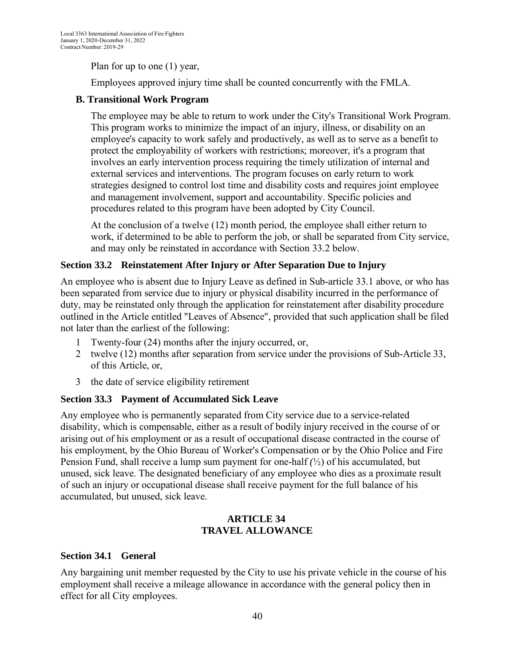Plan for up to one (1) year,

Employees approved injury time shall be counted concurrently with the FMLA.

## **B. Transitional Work Program**

The employee may be able to return to work under the City's Transitional Work Program. This program works to minimize the impact of an injury, illness, or disability on an employee's capacity to work safely and productively, as well as to serve as a benefit to protect the employability of workers with restrictions; moreover, it's a program that involves an early intervention process requiring the timely utilization of internal and external services and interventions. The program focuses on early return to work strategies designed to control lost time and disability costs and requires joint employee and management involvement, support and accountability. Specific policies and procedures related to this program have been adopted by City Council.

At the conclusion of a twelve (12) month period, the employee shall either return to work, if determined to be able to perform the job, or shall be separated from City service, and may only be reinstated in accordance with Section 33.2 below.

## <span id="page-39-0"></span>**Section 33.2 Reinstatement After Injury or After Separation Due to Injury**

An employee who is absent due to Injury Leave as defined in Sub-article 33.1 above, or who has been separated from service due to injury or physical disability incurred in the performance of duty, may be reinstated only through the application for reinstatement after disability procedure outlined in the Article entitled "Leaves of Absence", provided that such application shall be filed not later than the earliest of the following:

- 1 Twenty-four (24) months after the injury occurred, or,
- 2 twelve (12) months after separation from service under the provisions of Sub-Article 33, of this Article, or,
- 3 the date of service eligibility retirement

## <span id="page-39-1"></span>**Section 33.3 Payment of Accumulated Sick Leave**

Any employee who is permanently separated from City service due to a service-related disability, which is compensable, either as a result of bodily injury received in the course of or arising out of his employment or as a result of occupational disease contracted in the course of his employment, by the Ohio Bureau of Worker's Compensation or by the Ohio Police and Fire Pension Fund, shall receive a lump sum payment for one-half *(*½) of his accumulated, but unused, sick leave. The designated beneficiary of any employee who dies as a proximate result of such an injury or occupational disease shall receive payment for the full balance of his accumulated, but unused, sick leave.

#### **ARTICLE 34 TRAVEL ALLOWANCE**

## <span id="page-39-3"></span><span id="page-39-2"></span>**Section 34.1 General**

Any bargaining unit member requested by the City to use his private vehicle in the course of his employment shall receive a mileage allowance in accordance with the general policy then in effect for all City employees.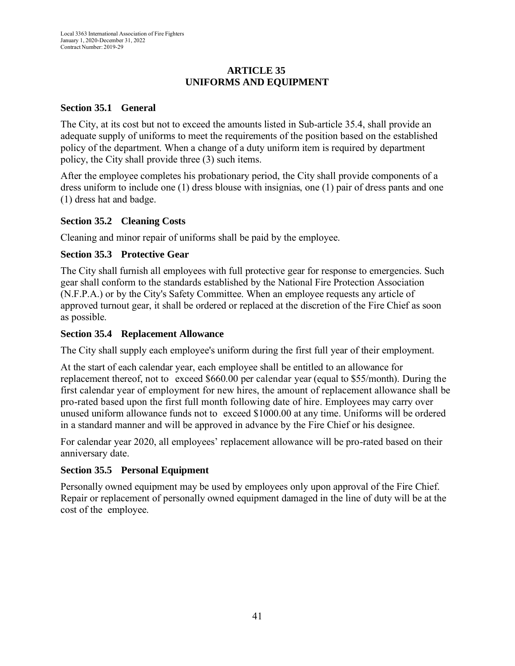## **ARTICLE 35 UNIFORMS AND EQUIPMENT**

## <span id="page-40-1"></span><span id="page-40-0"></span>**Section 35.1 General**

The City, at its cost but not to exceed the amounts listed in Sub-article 35.4, shall provide an adequate supply of uniforms to meet the requirements of the position based on the established policy of the department. When a change of a duty uniform item is required by department policy, the City shall provide three (3) such items.

After the employee completes his probationary period, the City shall provide components of a dress uniform to include one (1) dress blouse with insignias, one (1) pair of dress pants and one (1) dress hat and badge.

#### <span id="page-40-2"></span>**Section 35.2 Cleaning Costs**

Cleaning and minor repair of uniforms shall be paid by the employee.

#### <span id="page-40-3"></span>**Section 35.3 Protective Gear**

The City shall furnish all employees with full protective gear for response to emergencies. Such gear shall conform to the standards established by the National Fire Protection Association (N.F.P.A.) or by the City's Safety Committee. When an employee requests any article of approved turnout gear, it shall be ordered or replaced at the discretion of the Fire Chief as soon as possible.

#### <span id="page-40-4"></span>**Section 35.4 Replacement Allowance**

The City shall supply each employee's uniform during the first full year of their employment.

At the start of each calendar year, each employee shall be entitled to an allowance for replacement thereof, not to exceed \$660.00 per calendar year (equal to \$55/month). During the first calendar year of employment for new hires, the amount of replacement allowance shall be pro-rated based upon the first full month following date of hire. Employees may carry over unused uniform allowance funds not to exceed \$1000.00 at any time. Uniforms will be ordered in a standard manner and will be approved in advance by the Fire Chief or his designee.

For calendar year 2020, all employees' replacement allowance will be pro-rated based on their anniversary date.

## <span id="page-40-5"></span>**Section 35.5 Personal Equipment**

Personally owned equipment may be used by employees only upon approval of the Fire Chief. Repair or replacement of personally owned equipment damaged in the line of duty will be at the cost of the employee.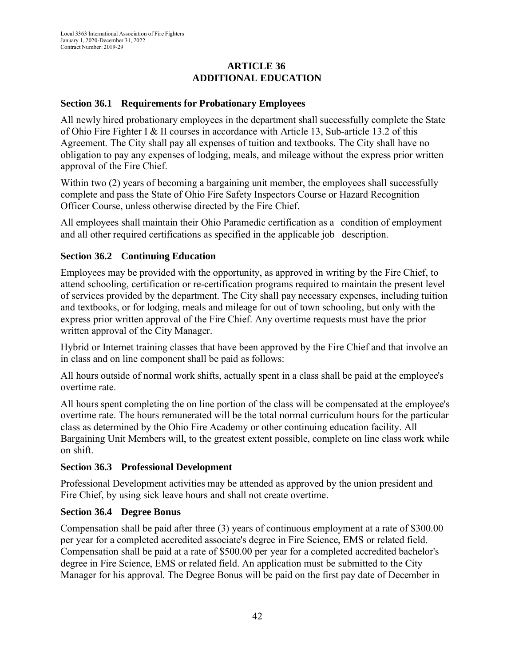## **ARTICLE 36 ADDITIONAL EDUCATION**

## **Section 36.1 Requirements for Probationary Employees**

All newly hired probationary employees in the department shall successfully complete the State of Ohio Fire Fighter I & II courses in accordance with Article 13, Sub-article 13.2 of this Agreement. The City shall pay all expenses of tuition and textbooks. The City shall have no obligation to pay any expenses of lodging, meals, and mileage without the express prior written approval of the Fire Chief.

Within two (2) years of becoming a bargaining unit member, the employees shall successfully complete and pass the State of Ohio Fire Safety Inspectors Course or Hazard Recognition Officer Course, unless otherwise directed by the Fire Chief.

All employees shall maintain their Ohio Paramedic certification as a condition of employment and all other required certifications as specified in the applicable job description.

#### **Section 36.2 Continuing Education**

Employees may be provided with the opportunity, as approved in writing by the Fire Chief, to attend schooling, certification or re-certification programs required to maintain the present level of services provided by the department. The City shall pay necessary expenses, including tuition and textbooks, or for lodging, meals and mileage for out of town schooling, but only with the express prior written approval of the Fire Chief. Any overtime requests must have the prior written approval of the City Manager.

Hybrid or Internet training classes that have been approved by the Fire Chief and that involve an in class and on line component shall be paid as follows:

All hours outside of normal work shifts, actually spent in a class shall be paid at the employee's overtime rate.

All hours spent completing the on line portion of the class will be compensated at the employee's overtime rate. The hours remunerated will be the total normal curriculum hours for the particular class as determined by the Ohio Fire Academy or other continuing education facility. All Bargaining Unit Members will, to the greatest extent possible, complete on line class work while on shift.

#### **Section 36.3 Professional Development**

Professional Development activities may be attended as approved by the union president and Fire Chief, by using sick leave hours and shall not create overtime.

#### **Section 36.4 Degree Bonus**

Compensation shall be paid after three (3) years of continuous employment at a rate of \$300.00 per year for a completed accredited associate's degree in Fire Science, EMS or related field. Compensation shall be paid at a rate of \$500.00 per year for a completed accredited bachelor's degree in Fire Science, EMS or related field. An application must be submitted to the City Manager for his approval. The Degree Bonus will be paid on the first pay date of December in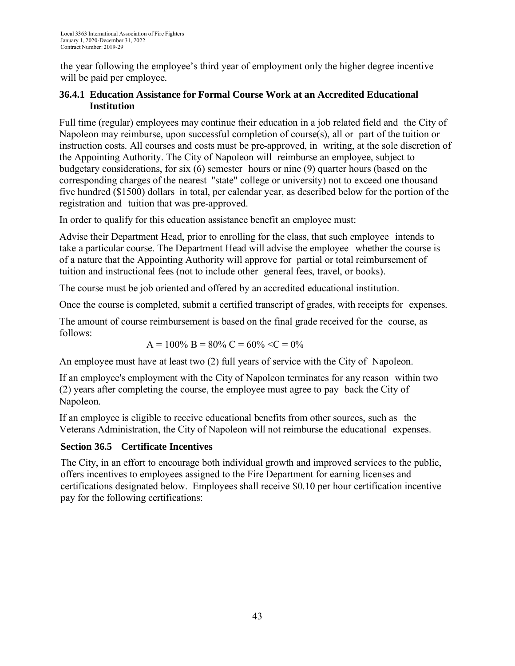the year following the employee's third year of employment only the higher degree incentive will be paid per employee.

# **36.4.1 Education Assistance for Formal Course Work at an Accredited Educational Institution**

Full time (regular) employees may continue their education in a job related field and the City of Napoleon may reimburse, upon successful completion of course(s), all or part of the tuition or instruction costs. All courses and costs must be pre-approved, in writing, at the sole discretion of the Appointing Authority. The City of Napoleon will reimburse an employee, subject to budgetary considerations, for six (6) semester hours or nine (9) quarter hours (based on the corresponding charges of the nearest "state" college or university) not to exceed one thousand five hundred (\$1500) dollars in total, per calendar year, as described below for the portion of the registration and tuition that was pre-approved.

In order to qualify for this education assistance benefit an employee must:

Advise their Department Head, prior to enrolling for the class, that such employee intends to take a particular course. The Department Head will advise the employee whether the course is of a nature that the Appointing Authority will approve for partial or total reimbursement of tuition and instructional fees (not to include other general fees, travel, or books).

The course must be job oriented and offered by an accredited educational institution.

Once the course is completed, submit a certified transcript of grades, with receipts for expenses.

The amount of course reimbursement is based on the final grade received for the course, as follows:

$$
A = 100\% B = 80\% C = 60\% \langle C = 0\%
$$

An employee must have at least two (2) full years of service with the City of Napoleon.

If an employee's employment with the City of Napoleon terminates for any reason within two (2) years after completing the course, the employee must agree to pay back the City of Napoleon.

If an employee is eligible to receive educational benefits from other sources, such as the Veterans Administration, the City of Napoleon will not reimburse the educational expenses.

## **Section 36.5 Certificate Incentives**

The City, in an effort to encourage both individual growth and improved services to the public, offers incentives to employees assigned to the Fire Department for earning licenses and certifications designated below. Employees shall receive \$0.10 per hour certification incentive pay for the following certifications: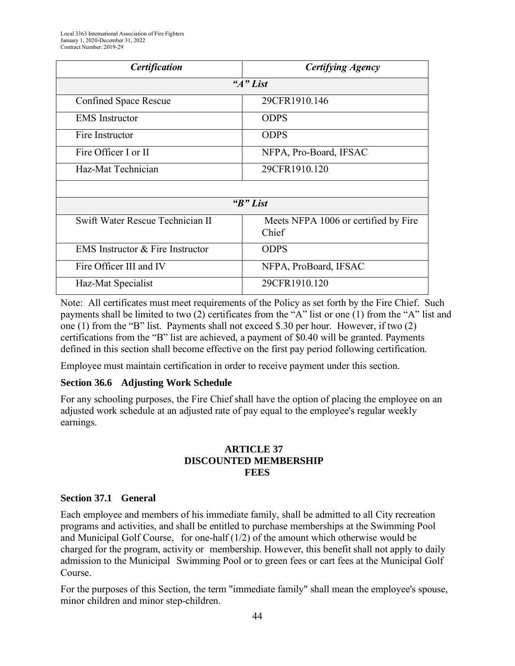| <b>Certification</b>                    | <b>Certifying Agency</b>                      |
|-----------------------------------------|-----------------------------------------------|
|                                         | "A" List                                      |
| <b>Confined Space Rescue</b>            | 29CFR1910.146                                 |
| <b>EMS</b> Instructor                   | <b>ODPS</b>                                   |
| Fire Instructor                         | <b>ODPS</b>                                   |
| Fire Officer I or II                    | NFPA, Pro-Board, IFSAC                        |
| Haz-Mat Technician                      | 29CFR1910.120                                 |
|                                         |                                               |
|                                         | "B" List                                      |
| Swift Water Rescue Technician II        | Meets NFPA 1006 or certified by Fire<br>Chief |
| <b>EMS</b> Instructor & Fire Instructor | <b>ODPS</b>                                   |
| Fire Officer III and IV                 | NFPA, ProBoard, IFSAC                         |
| Haz-Mat Specialist                      | 29CFR1910.120                                 |

Note: All certificates must meet requirements of the Policy as set forth by the Fire Chief. Such payments shall be limited to two (2) certificates from the "A" list or one (1) from the "A" list and one (1) from the "B" list. Payments shall not exceed \$.30 per hour. However, if two (2) certifications from the "B" list are achieved, a payment of \$0.40 will be granted. Payments defined in this section shall become effective on the first pay period following certification.

Employee must maintain certification in order to receive payment under this section.

#### **Section 36.6 Adjusting Work Schedule**

For any schooling purposes, the Fire Chief shall have the option of placing the employee on an adjusted work schedule at an adjusted rate of pay equal to the employee's regular weekly earnings.

#### **ARTICLE 37 DISCOUNTED MEMBERSHIP FEES**

#### **Section 37.1 General**

Each employee and members of his immediate family, shall be admitted to all City recreation programs and activities, and shall be entitled to purchase memberships at the Swimming Pool and Municipal Golf Course, for one-half  $(1/2)$  of the amount which otherwise would be charged for the program, activity or membership. However, this benefit shall not apply to daily admission to the Municipal Swimming Pool or to green fees or cart fees at the Municipal Golf Course.

For the purposes of this Section, the term "immediate family" shall mean the employee's spouse, minor children and minor step-children.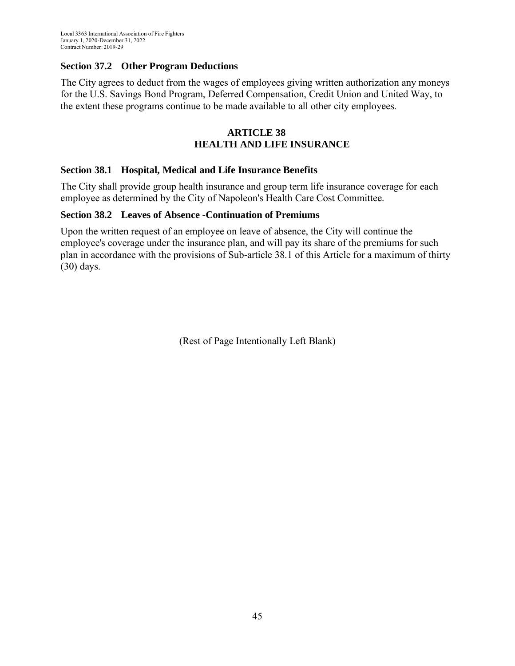## **Section 37.2 Other Program Deductions**

The City agrees to deduct from the wages of employees giving written authorization any moneys for the U.S. Savings Bond Program, Deferred Compensation, Credit Union and United Way, to the extent these programs continue to be made available to all other city employees.

#### **ARTICLE 38 HEALTH AND LIFE INSURANCE**

#### **Section 38.1 Hospital, Medical and Life Insurance Benefits**

The City shall provide group health insurance and group term life insurance coverage for each employee as determined by the City of Napoleon's Health Care Cost Committee.

#### **Section 38.2 Leaves of Absence -Continuation of Premiums**

Upon the written request of an employee on leave of absence, the City will continue the employee's coverage under the insurance plan, and will pay its share of the premiums for such plan in accordance with the provisions of Sub-article 38.1 of this Article for a maximum of thirty (30) days.

(Rest of Page Intentionally Left Blank)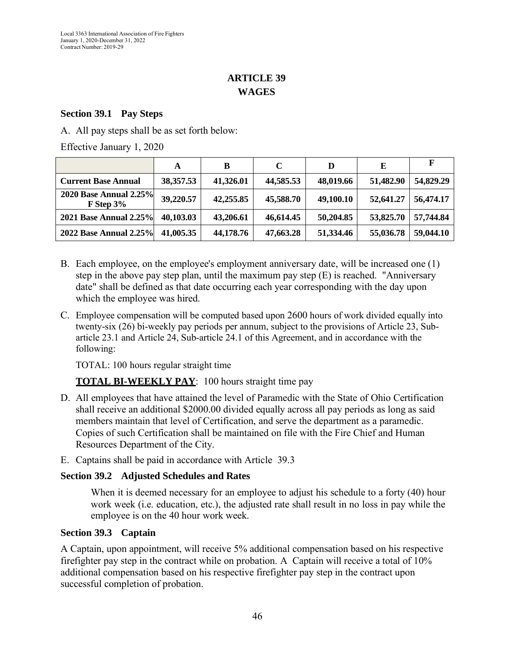# **ARTICLE 39 WAGES**

#### **Section 39.1 Pay Steps**

A. All pay steps shall be as set forth below:

Effective January 1, 2020

|                                                 | A         | B         | C         | D         | E         | F         |
|-------------------------------------------------|-----------|-----------|-----------|-----------|-----------|-----------|
| <b>Current Base Annual</b>                      | 38,357.53 | 41,326.01 | 44,585.53 | 48,019.66 | 51,482.90 | 54,829.29 |
| <b>2020 Base Annual 2.25%</b><br>$F$ Step $3\%$ | 39,220.57 | 42,255.85 | 45,588.70 | 49,100.10 | 52,641.27 | 56,474.17 |
| <b>2021 Base Annual 2.25%</b>                   | 40,103.03 | 43,206.61 | 46,614.45 | 50,204.85 | 53,825.70 | 57,744.84 |
| 2022 Base Annual 2.25%                          | 41,005.35 | 44,178.76 | 47,663.28 | 51,334.46 | 55,036.78 | 59,044.10 |

- B. Each employee, on the employee's employment anniversary date, will be increased one (1) step in the above pay step plan, until the maximum pay step (E) is reached. "Anniversary date" shall be defined as that date occurring each year corresponding with the day upon which the employee was hired.
- C. Employee compensation will be computed based upon 2600 hours of work divided equally into twenty-six (26) bi-weekly pay periods per annum, subject to the provisions of Article 23, Subarticle 23.1 and Article 24, Sub-article 24.1 of this Agreement, and in accordance with the following:

TOTAL: 100 hours regular straight time

**TOTAL BI-WEEKLY PAY**: 100 hours straight time pay

- D. All employees that have attained the level of Paramedic with the State of Ohio Certification shall receive an additional \$2000.00 divided equally across all pay periods as long as said members maintain that level of Certification, and serve the department as a paramedic. Copies of such Certification shall be maintained on file with the Fire Chief and Human Resources Department of the City.
- E. Captains shall be paid in accordance with Article 39.3

## **Section 39.2 Adjusted Schedules and Rates**

When it is deemed necessary for an employee to adjust his schedule to a forty (40) hour work week (i.e. education, etc.), the adjusted rate shall result in no loss in pay while the employee is on the 40 hour work week.

## **Section 39.3 Captain**

A Captain, upon appointment, will receive 5% additional compensation based on his respective firefighter pay step in the contract while on probation. A Captain will receive a total of 10% additional compensation based on his respective firefighter pay step in the contract upon successful completion of probation.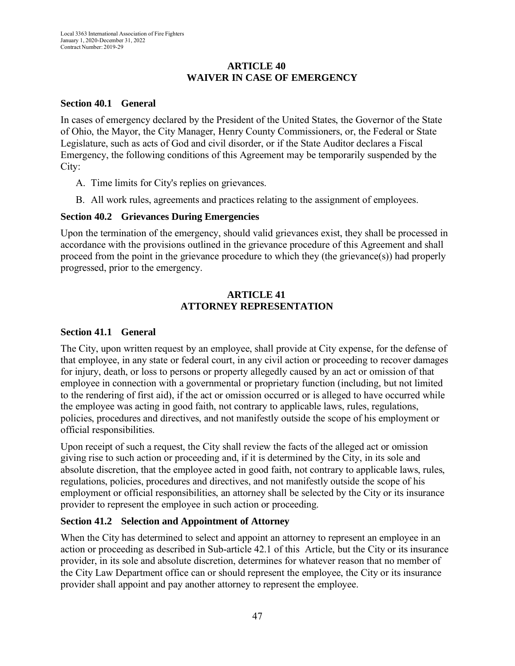#### **ARTICLE 40 WAIVER IN CASE OF EMERGENCY**

#### **Section 40.1 General**

In cases of emergency declared by the President of the United States, the Governor of the State of Ohio, the Mayor, the City Manager, Henry County Commissioners, or, the Federal or State Legislature, such as acts of God and civil disorder, or if the State Auditor declares a Fiscal Emergency, the following conditions of this Agreement may be temporarily suspended by the City:

- A. Time limits for City's replies on grievances.
- B. All work rules, agreements and practices relating to the assignment of employees.

#### **Section 40.2 Grievances During Emergencies**

Upon the termination of the emergency, should valid grievances exist, they shall be processed in accordance with the provisions outlined in the grievance procedure of this Agreement and shall proceed from the point in the grievance procedure to which they (the grievance(s)) had properly progressed, prior to the emergency.

## **ARTICLE 41 ATTORNEY REPRESENTATION**

#### **Section 41.1 General**

The City, upon written request by an employee, shall provide at City expense, for the defense of that employee, in any state or federal court, in any civil action or proceeding to recover damages for injury, death, or loss to persons or property allegedly caused by an act or omission of that employee in connection with a governmental or proprietary function (including, but not limited to the rendering of first aid), if the act or omission occurred or is alleged to have occurred while the employee was acting in good faith, not contrary to applicable laws, rules, regulations, policies, procedures and directives, and not manifestly outside the scope of his employment or official responsibilities.

Upon receipt of such a request, the City shall review the facts of the alleged act or omission giving rise to such action or proceeding and, if it is determined by the City, in its sole and absolute discretion, that the employee acted in good faith, not contrary to applicable laws, rules, regulations, policies, procedures and directives, and not manifestly outside the scope of his employment or official responsibilities, an attorney shall be selected by the City or its insurance provider to represent the employee in such action or proceeding.

## **Section 41.2 Selection and Appointment of Attorney**

When the City has determined to select and appoint an attorney to represent an employee in an action or proceeding as described in Sub-article 42.1 of this Article, but the City or its insurance provider, in its sole and absolute discretion, determines for whatever reason that no member of the City Law Department office can or should represent the employee, the City or its insurance provider shall appoint and pay another attorney to represent the employee.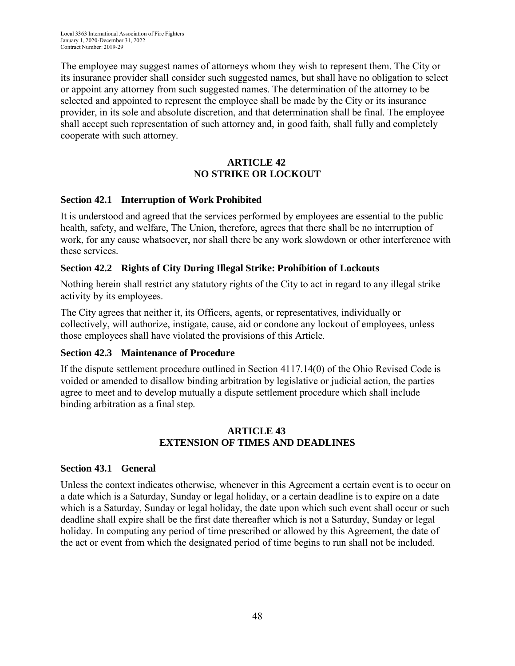The employee may suggest names of attorneys whom they wish to represent them. The City or its insurance provider shall consider such suggested names, but shall have no obligation to select or appoint any attorney from such suggested names. The determination of the attorney to be selected and appointed to represent the employee shall be made by the City or its insurance provider, in its sole and absolute discretion, and that determination shall be final. The employee shall accept such representation of such attorney and, in good faith, shall fully and completely cooperate with such attorney.

## **ARTICLE 42 NO STRIKE OR LOCKOUT**

#### **Section 42.1 Interruption of Work Prohibited**

It is understood and agreed that the services performed by employees are essential to the public health, safety, and welfare, The Union, therefore, agrees that there shall be no interruption of work, for any cause whatsoever, nor shall there be any work slowdown or other interference with these services.

## **Section 42.2 Rights of City During Illegal Strike: Prohibition of Lockouts**

Nothing herein shall restrict any statutory rights of the City to act in regard to any illegal strike activity by its employees.

The City agrees that neither it, its Officers, agents, or representatives, individually or collectively, will authorize, instigate, cause, aid or condone any lockout of employees, unless those employees shall have violated the provisions of this Article.

#### **Section 42.3 Maintenance of Procedure**

If the dispute settlement procedure outlined in Section 4117.14(0) of the Ohio Revised Code is voided or amended to disallow binding arbitration by legislative or judicial action, the parties agree to meet and to develop mutually a dispute settlement procedure which shall include binding arbitration as a final step.

#### **ARTICLE 43 EXTENSION OF TIMES AND DEADLINES**

#### **Section 43.1 General**

Unless the context indicates otherwise, whenever in this Agreement a certain event is to occur on a date which is a Saturday, Sunday or legal holiday, or a certain deadline is to expire on a date which is a Saturday, Sunday or legal holiday, the date upon which such event shall occur or such deadline shall expire shall be the first date thereafter which is not a Saturday, Sunday or legal holiday. In computing any period of time prescribed or allowed by this Agreement, the date of the act or event from which the designated period of time begins to run shall not be included.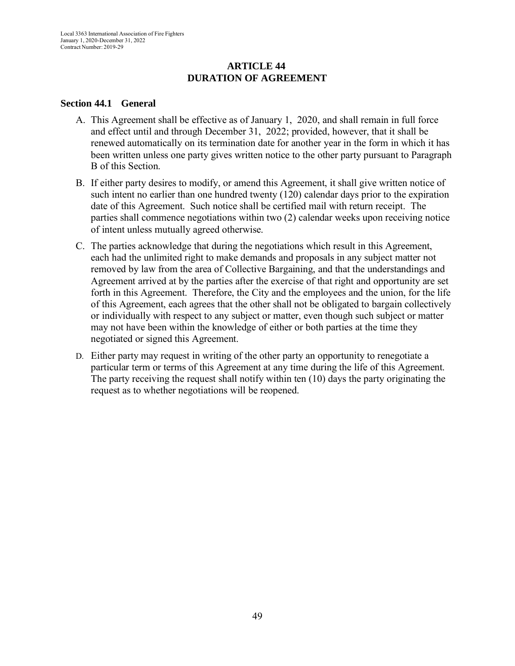#### **ARTICLE 44 DURATION OF AGREEMENT**

#### **Section 44.1 General**

- A. This Agreement shall be effective as of January 1, 2020, and shall remain in full force and effect until and through December 31, 2022; provided, however, that it shall be renewed automatically on its termination date for another year in the form in which it has been written unless one party gives written notice to the other party pursuant to Paragraph B of this Section.
- B. If either party desires to modify, or amend this Agreement, it shall give written notice of such intent no earlier than one hundred twenty (120) calendar days prior to the expiration date of this Agreement. Such notice shall be certified mail with return receipt. The parties shall commence negotiations within two (2) calendar weeks upon receiving notice of intent unless mutually agreed otherwise.
- C. The parties acknowledge that during the negotiations which result in this Agreement, each had the unlimited right to make demands and proposals in any subject matter not removed by law from the area of Collective Bargaining, and that the understandings and Agreement arrived at by the parties after the exercise of that right and opportunity are set forth in this Agreement. Therefore, the City and the employees and the union, for the life of this Agreement, each agrees that the other shall not be obligated to bargain collectively or individually with respect to any subject or matter, even though such subject or matter may not have been within the knowledge of either or both parties at the time they negotiated or signed this Agreement.
- D. Either party may request in writing of the other party an opportunity to renegotiate a particular term or terms of this Agreement at any time during the life of this Agreement. The party receiving the request shall notify within ten (10) days the party originating the request as to whether negotiations will be reopened.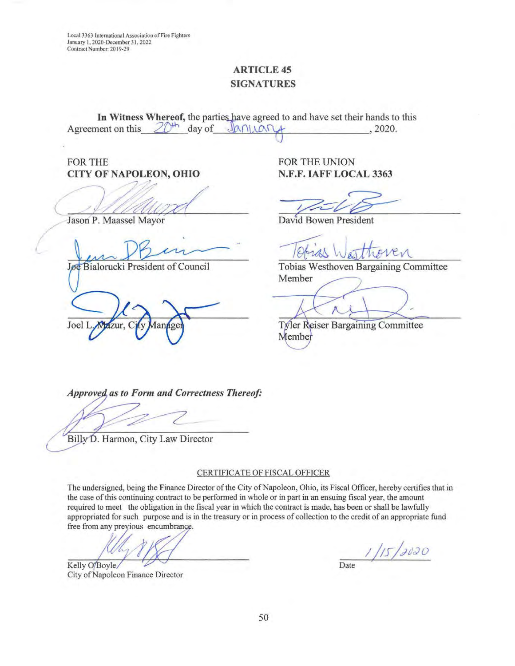Local 3363 International Association of Fire Fighters January 1, 2020-December 31, 2022 Contract Number: 2019-29

# **ARTICLE 45** SIGNATURES

In Witness Whereof, the parties have agreed to and have set their hands to this Agreement on this  $20^{th}$  day of  $\sqrt{0.0004}$ , 2020.

FOR THE UNION

CITY OF NAPOLEON, OHIO N.F.F. IAFF LOCAL 3363 Jason P. Maassel Mayor<br>Jason P. Maassel Mayor

/

**Jøe Bialorucki President of Council** 

Joel I izur.

Tobias Westhoven Bargaining Committee Member

**Tyler Reiser Bargaining Committee** Member

**Approved, as to Form and Correctness Thereof:** 

Billy D. Harmon, City Law Director

#### CERTIFICATE OF FISCAL OFFICER

The undersigned, being the Finance Director of the City of Napoleon, Ohio, its Fiscal Officer, hereby certifies that in the case of this continuing contract to be performed in whole or in part in an ensuing fiscal year, the amount required to meet the obligation in the fiscal year in which the contract is made, has been or shall be lawfully appropriated for such purpose and is in the treasury or in process of collection to the credit of an appropriate fund free from any previous encumbrance.

Kelly O'Boyle/ City of Napoleon Finance Director

 $\frac{1}{\text{Date}}$ 

50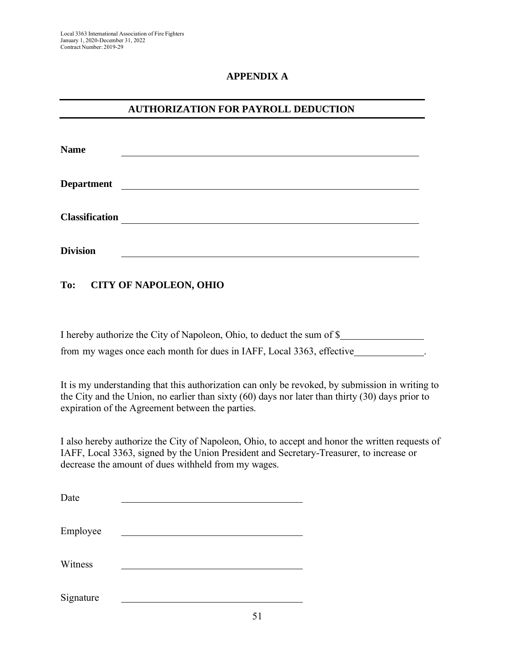## **APPENDIX A**

# **AUTHORIZATION FOR PAYROLL DEDUCTION**

| <b>Name</b>           |  |
|-----------------------|--|
| <b>Department</b>     |  |
| <b>Classification</b> |  |
| <b>Division</b>       |  |

**To: CITY OF NAPOLEON, OHIO**

| I hereby authorize the City of Napoleon, Ohio, to deduct the sum of \$ |  |
|------------------------------------------------------------------------|--|
| from my wages once each month for dues in IAFF, Local 3363, effective  |  |

It is my understanding that this authorization can only be revoked, by submission in writing to the City and the Union, no earlier than sixty (60) days nor later than thirty (30) days prior to expiration of the Agreement between the parties.

I also hereby authorize the City of Napoleon, Ohio, to accept and honor the written requests of IAFF, Local 3363, signed by the Union President and Secretary-Treasurer, to increase or decrease the amount of dues withheld from my wages.

| Date      |  |
|-----------|--|
| Employee  |  |
| Witness   |  |
| Signature |  |